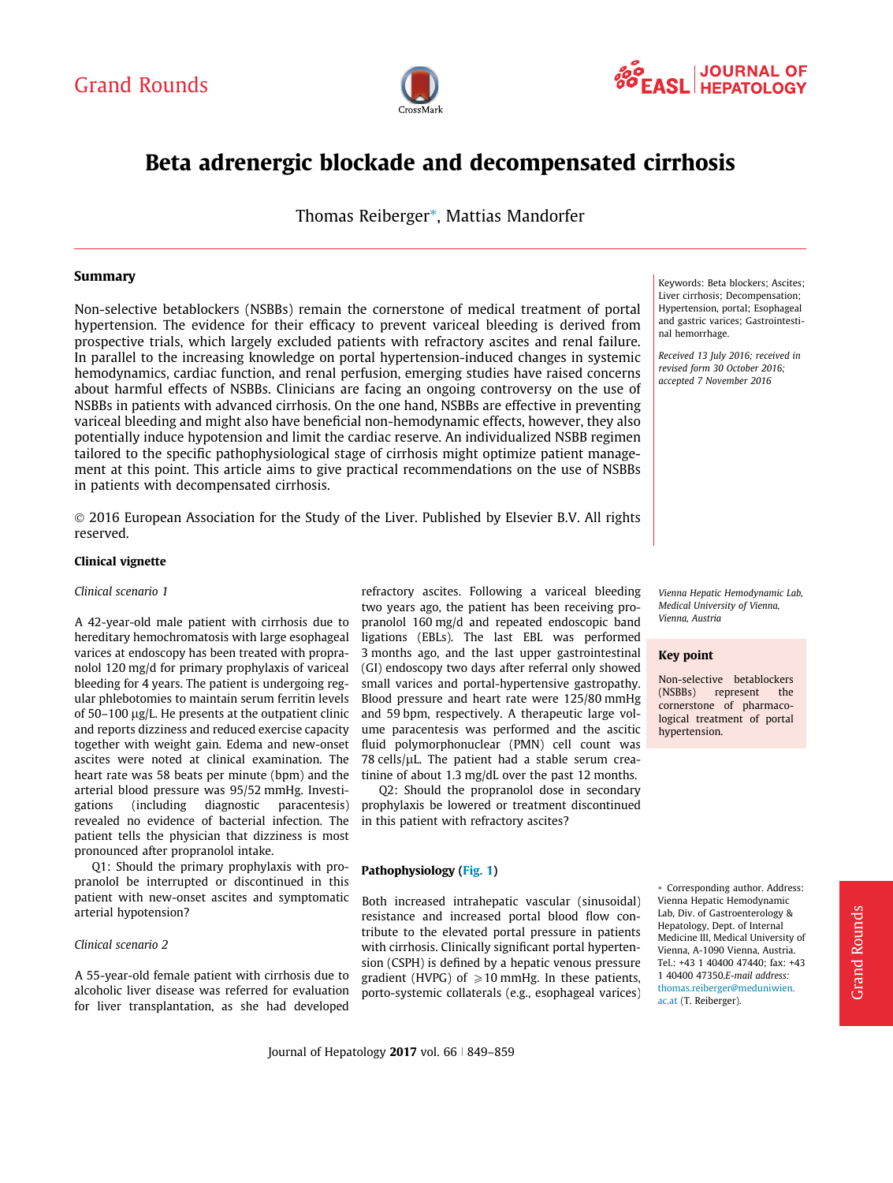



# Beta adrenergic blockade and decompensated cirrhosis

Thomas Reiberger\*, Mattias Mandorfer

## Summary

Non-selective betablockers (NSBBs) remain the cornerstone of medical treatment of portal hypertension. The evidence for their efficacy to prevent variceal bleeding is derived from prospective trials, which largely excluded patients with refractory ascites and renal failure. In parallel to the increasing knowledge on portal hypertension-induced changes in systemic hemodynamics, cardiac function, and renal perfusion, emerging studies have raised concerns about harmful effects of NSBBs. Clinicians are facing an ongoing controversy on the use of NSBBs in patients with advanced cirrhosis. On the one hand, NSBBs are effective in preventing variceal bleeding and might also have beneficial non-hemodynamic effects, however, they also potentially induce hypotension and limit the cardiac reserve. An individualized NSBB regimen tailored to the specific pathophysiological stage of cirrhosis might optimize patient management at this point. This article aims to give practical recommendations on the use of NSBBs in patients with decompensated cirrhosis.

 2016 European Association for the Study of the Liver. Published by Elsevier B.V. All rights reserved.

#### Clinical vignette

## Clinical scenario 1

A 42-year-old male patient with cirrhosis due to hereditary hemochromatosis with large esophageal varices at endoscopy has been treated with propranolol 120 mg/d for primary prophylaxis of variceal bleeding for 4 years. The patient is undergoing regular phlebotomies to maintain serum ferritin levels of  $50-100$  ug/L. He presents at the outpatient clinic and reports dizziness and reduced exercise capacity together with weight gain. Edema and new-onset ascites were noted at clinical examination. The heart rate was 58 beats per minute (bpm) and the arterial blood pressure was 95/52 mmHg. Investigations (including diagnostic paracentesis) revealed no evidence of bacterial infection. The patient tells the physician that dizziness is most pronounced after propranolol intake.

Q1: Should the primary prophylaxis with propranolol be interrupted or discontinued in this patient with new-onset ascites and symptomatic arterial hypotension?

#### Clinical scenario 2

A 55-year-old female patient with cirrhosis due to alcoholic liver disease was referred for evaluation for liver transplantation, as she had developed

refractory ascites. Following a variceal bleeding two years ago, the patient has been receiving propranolol 160 mg/d and repeated endoscopic band ligations (EBLs). The last EBL was performed 3 months ago, and the last upper gastrointestinal (GI) endoscopy two days after referral only showed small varices and portal-hypertensive gastropathy. Blood pressure and heart rate were 125/80 mmHg and 59 bpm, respectively. A therapeutic large volume paracentesis was performed and the ascitic fluid polymorphonuclear (PMN) cell count was  $78$  cells/ $\mu$ L. The patient had a stable serum creatinine of about 1.3 mg/dL over the past 12 months.

Q2: Should the propranolol dose in secondary prophylaxis be lowered or treatment discontinued in this patient with refractory ascites?

### Pathophysiology [\(Fig. 1](#page-1-0))

Both increased intrahepatic vascular (sinusoidal) resistance and increased portal blood flow contribute to the elevated portal pressure in patients with cirrhosis. Clinically significant portal hypertension (CSPH) is defined by a hepatic venous pressure gradient (HVPG) of  $\geq 10$  mmHg. In these patients, porto-systemic collaterals (e.g., esophageal varices) Keywords: Beta blockers; Ascites; Liver cirrhosis; Decompensation; Hypertension, portal; Esophageal and gastric varices; Gastrointestinal hemorrhage.

Received 13 July 2016; received in revised form 30 October 2016; accepted 7 November 2016

Vienna Hepatic Hemodynamic Lab, Medical University of Vienna, Vienna, Austria

# Key point

Non-selective betablockers (NSBBs) represent the cornerstone of pharmacological treatment of portal hypertension.

⇑ Corresponding author. Address: Vienna Hepatic Hemodynamic Lab, Div. of Gastroenterology & Hepatology, Dept. of Internal Medicine III, Medical University of Vienna, A-1090 Vienna, Austria. Tel.: +43 1 40400 47440; fax: +43 1 40400 47350.E-mail address: [thomas.reiberger@meduniwien.](mailto:thomas.reiberger@meduniwien.ac.at) [ac.at](mailto:thomas.reiberger@meduniwien.ac.at) (T. Reiberger).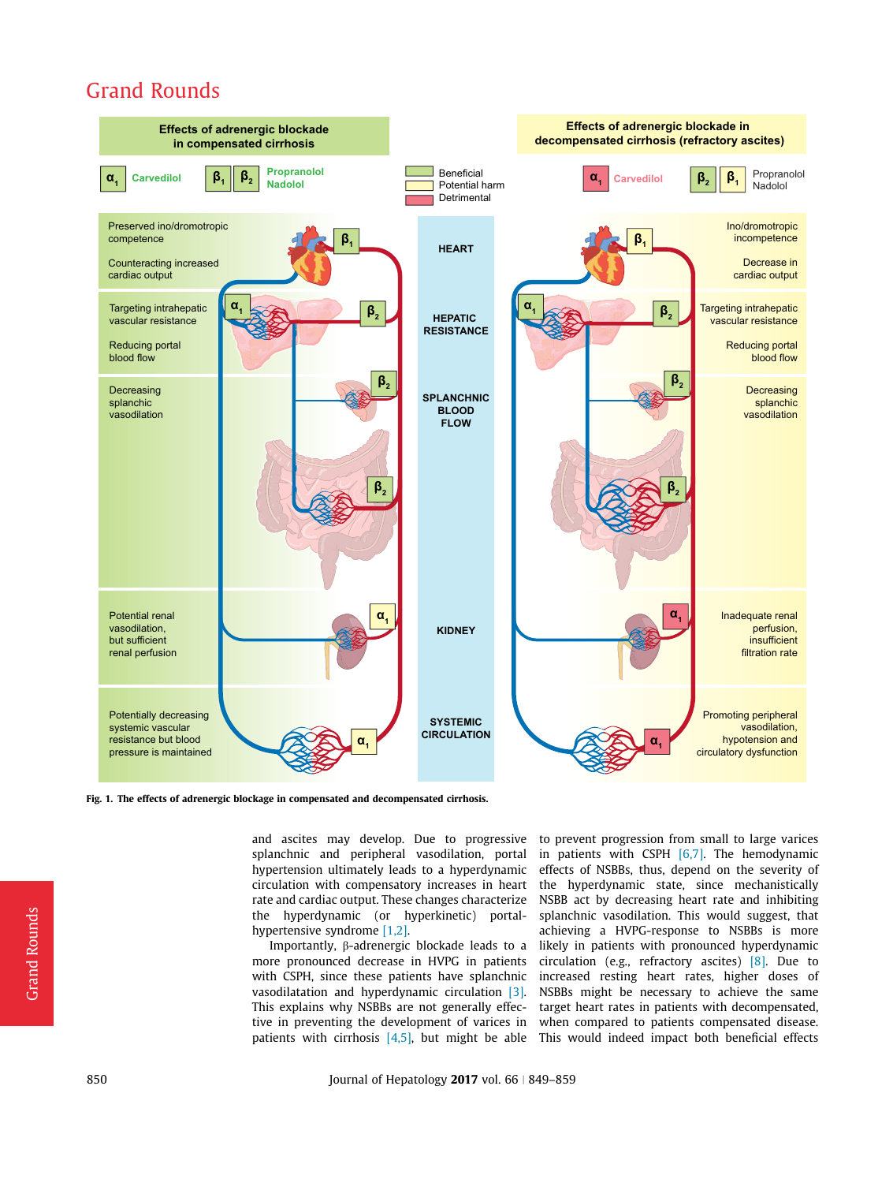<span id="page-1-0"></span>

Fig. 1. The effects of adrenergic blockage in compensated and decompensated cirrhosis.

and ascites may develop. Due to progressive to prevent progression from small to large varices splanchnic and peripheral vasodilation, portal hypertension ultimately leads to a hyperdynamic circulation with compensatory increases in heart rate and cardiac output. These changes characterize the hyperdynamic (or hyperkinetic) portalhypertensive syndrome [\[1,2\]](#page-8-0).

Importantly,  $\beta$ -adrenergic blockade leads to a more pronounced decrease in HVPG in patients with CSPH, since these patients have splanchnic vasodilatation and hyperdynamic circulation [\[3\]](#page-8-0). This explains why NSBBs are not generally effective in preventing the development of varices in patients with cirrhosis  $[4,5]$ , but might be able

in patients with CSPH [\[6,7\]](#page-8-0). The hemodynamic effects of NSBBs, thus, depend on the severity of the hyperdynamic state, since mechanistically NSBB act by decreasing heart rate and inhibiting splanchnic vasodilation. This would suggest, that achieving a HVPG-response to NSBBs is more likely in patients with pronounced hyperdynamic circulation (e.g., refractory ascites) [\[8\].](#page-8-0) Due to increased resting heart rates, higher doses of NSBBs might be necessary to achieve the same target heart rates in patients with decompensated, when compared to patients compensated disease. This would indeed impact both beneficial effects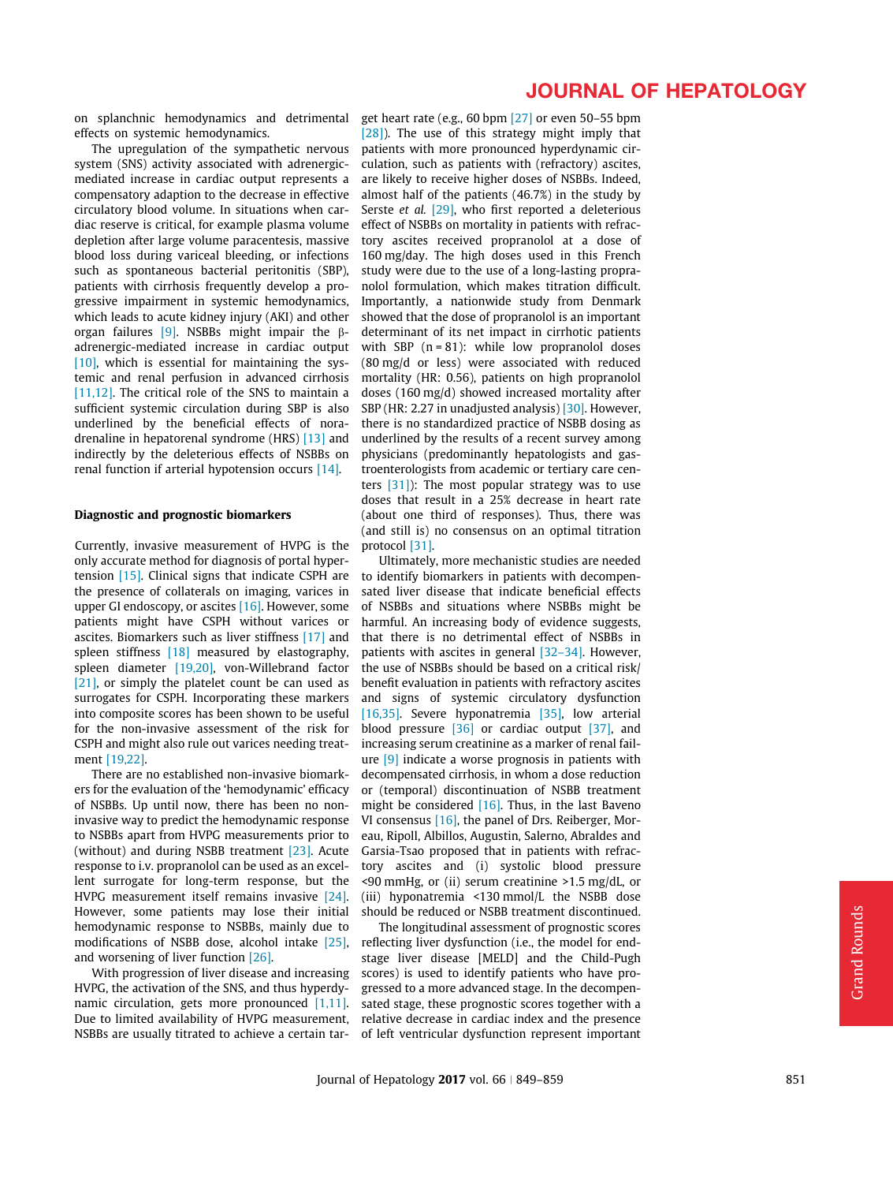on splanchnic hemodynamics and detrimental get heart rate (e.g., 60 bpm [\[27\]](#page-9-0) or even 50–55 bpm effects on systemic hemodynamics.

The upregulation of the sympathetic nervous system (SNS) activity associated with adrenergicmediated increase in cardiac output represents a compensatory adaption to the decrease in effective circulatory blood volume. In situations when cardiac reserve is critical, for example plasma volume depletion after large volume paracentesis, massive blood loss during variceal bleeding, or infections such as spontaneous bacterial peritonitis (SBP), patients with cirrhosis frequently develop a progressive impairment in systemic hemodynamics, which leads to acute kidney injury (AKI) and other organ failures [\[9\].](#page-8-0) NSBBs might impair the  $\beta$ adrenergic-mediated increase in cardiac output [\[10\],](#page-8-0) which is essential for maintaining the systemic and renal perfusion in advanced cirrhosis [\[11,12\]](#page-8-0). The critical role of the SNS to maintain a sufficient systemic circulation during SBP is also underlined by the beneficial effects of noradrenaline in hepatorenal syndrome (HRS) [\[13\]](#page-8-0) and indirectly by the deleterious effects of NSBBs on renal function if arterial hypotension occurs [\[14\]](#page-8-0).

#### Diagnostic and prognostic biomarkers

Currently, invasive measurement of HVPG is the only accurate method for diagnosis of portal hypertension [\[15\].](#page-8-0) Clinical signs that indicate CSPH are the presence of collaterals on imaging, varices in upper GI endoscopy, or ascites [\[16\]](#page-8-0). However, some patients might have CSPH without varices or ascites. Biomarkers such as liver stiffness [\[17\]](#page-8-0) and spleen stiffness [\[18\]](#page-8-0) measured by elastography, spleen diameter [\[19,20\]](#page-8-0), von-Willebrand factor [\[21\]](#page-9-0), or simply the platelet count be can used as surrogates for CSPH. Incorporating these markers into composite scores has been shown to be useful for the non-invasive assessment of the risk for CSPH and might also rule out varices needing treatment [\[19,22\]](#page-8-0).

There are no established non-invasive biomarkers for the evaluation of the 'hemodynamic' efficacy of NSBBs. Up until now, there has been no noninvasive way to predict the hemodynamic response to NSBBs apart from HVPG measurements prior to (without) and during NSBB treatment [\[23\].](#page-9-0) Acute response to i.v. propranolol can be used as an excellent surrogate for long-term response, but the HVPG measurement itself remains invasive [\[24\]](#page-9-0). However, some patients may lose their initial hemodynamic response to NSBBs, mainly due to modifications of NSBB dose, alcohol intake [\[25\],](#page-9-0) and worsening of liver function [\[26\].](#page-9-0)

With progression of liver disease and increasing HVPG, the activation of the SNS, and thus hyperdynamic circulation, gets more pronounced [\[1,11\]](#page-8-0). Due to limited availability of HVPG measurement, NSBBs are usually titrated to achieve a certain tar-

# JOURNAL OF HEPATOLOGY

[\[28\]\)](#page-9-0). The use of this strategy might imply that patients with more pronounced hyperdynamic circulation, such as patients with (refractory) ascites, are likely to receive higher doses of NSBBs. Indeed, almost half of the patients (46.7%) in the study by Serste et al. [\[29\]](#page-9-0), who first reported a deleterious effect of NSBBs on mortality in patients with refractory ascites received propranolol at a dose of 160 mg/day. The high doses used in this French study were due to the use of a long-lasting propranolol formulation, which makes titration difficult. Importantly, a nationwide study from Denmark showed that the dose of propranolol is an important determinant of its net impact in cirrhotic patients with SBP  $(n = 81)$ : while low propranolol doses (80 mg/d or less) were associated with reduced mortality (HR: 0.56), patients on high propranolol doses (160 mg/d) showed increased mortality after SBP (HR: 2.27 in unadjusted analysis) [\[30\].](#page-9-0) However, there is no standardized practice of NSBB dosing as underlined by the results of a recent survey among physicians (predominantly hepatologists and gastroenterologists from academic or tertiary care centers  $[31]$ ): The most popular strategy was to use doses that result in a 25% decrease in heart rate (about one third of responses). Thus, there was (and still is) no consensus on an optimal titration protocol [\[31\]](#page-9-0).

Ultimately, more mechanistic studies are needed to identify biomarkers in patients with decompensated liver disease that indicate beneficial effects of NSBBs and situations where NSBBs might be harmful. An increasing body of evidence suggests, that there is no detrimental effect of NSBBs in patients with ascites in general [\[32–34\]](#page-9-0). However, the use of NSBBs should be based on a critical risk/ benefit evaluation in patients with refractory ascites and signs of systemic circulatory dysfunction [\[16,35\].](#page-8-0) Severe hyponatremia [\[35\]](#page-9-0), low arterial blood pressure [\[36\]](#page-9-0) or cardiac output [\[37\],](#page-9-0) and increasing serum creatinine as a marker of renal failure [\[9\]](#page-8-0) indicate a worse prognosis in patients with decompensated cirrhosis, in whom a dose reduction or (temporal) discontinuation of NSBB treatment might be considered [\[16\]](#page-8-0). Thus, in the last Baveno VI consensus [\[16\]](#page-8-0), the panel of Drs. Reiberger, Moreau, Ripoll, Albillos, Augustin, Salerno, Abraldes and Garsia-Tsao proposed that in patients with refractory ascites and (i) systolic blood pressure <90 mmHg, or (ii) serum creatinine >1.5 mg/dL, or (iii) hyponatremia <130 mmol/L the NSBB dose should be reduced or NSBB treatment discontinued.

The longitudinal assessment of prognostic scores reflecting liver dysfunction (i.e., the model for endstage liver disease [MELD] and the Child-Pugh scores) is used to identify patients who have progressed to a more advanced stage. In the decompensated stage, these prognostic scores together with a relative decrease in cardiac index and the presence of left ventricular dysfunction represent important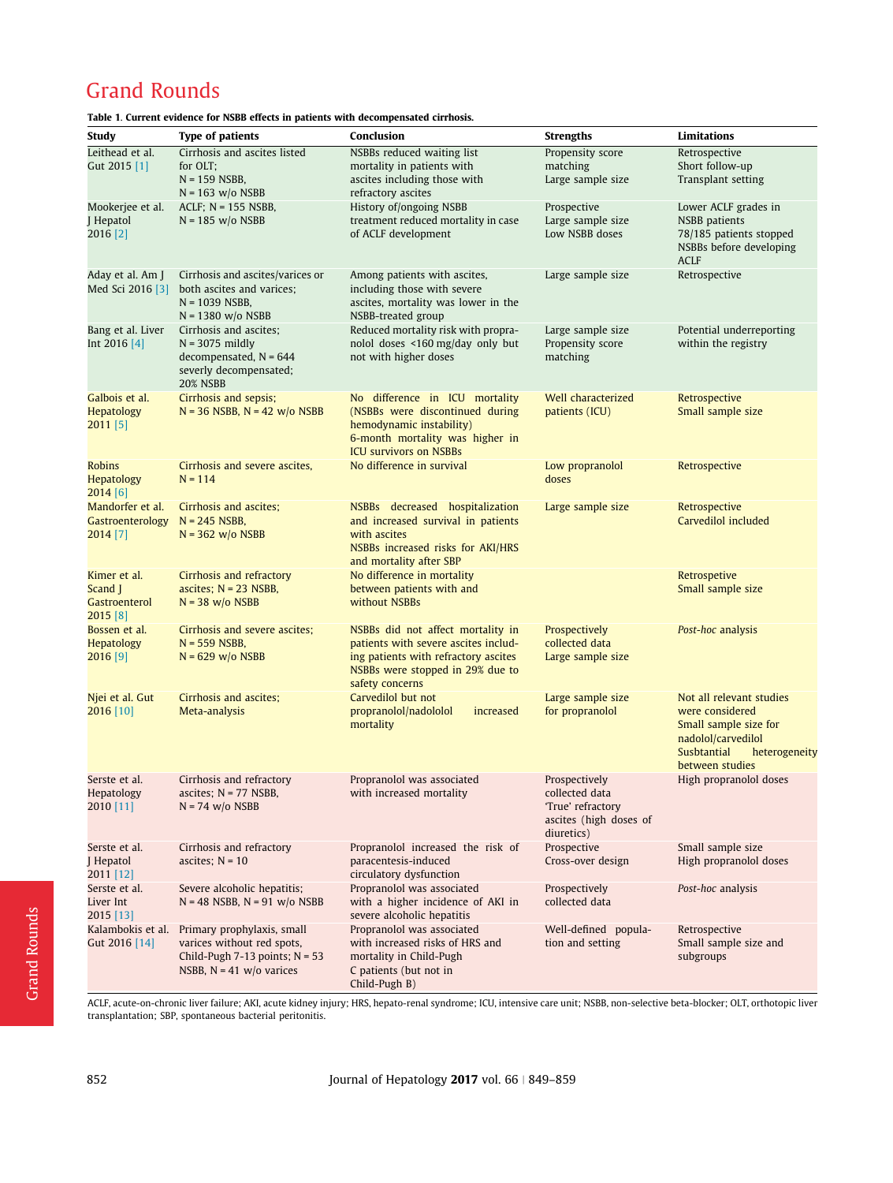| Study                                | <b>Type of patients</b>                                  | Conclusion                                                                   | <b>Strengths</b>                    | <b>Limitations</b>                                                |
|--------------------------------------|----------------------------------------------------------|------------------------------------------------------------------------------|-------------------------------------|-------------------------------------------------------------------|
| Leithead et al.                      | Cirrhosis and ascites listed                             | NSBBs reduced waiting list                                                   | Propensity score                    | Retrospective                                                     |
| Gut 2015 [1]                         | for OLT:                                                 | mortality in patients with                                                   | matching                            | Short follow-up                                                   |
|                                      | $N = 159$ NSBB,<br>$N = 163$ w/o NSBB                    | ascites including those with<br>refractory ascites                           | Large sample size                   | Transplant setting                                                |
| Mookerjee et al.                     | $ACLF$ ; $N = 155$ NSBB,                                 | History of/ongoing NSBB                                                      | Prospective                         | Lower ACLF grades in                                              |
| J Hepatol                            | $N = 185$ w/o NSBB                                       | treatment reduced mortality in case                                          | Large sample size                   | <b>NSBB</b> patients                                              |
| 2016 [2]                             |                                                          | of ACLF development                                                          | Low NSBB doses                      | 78/185 patients stopped<br>NSBBs before developing<br><b>ACLF</b> |
| Aday et al. Am J<br>Med Sci 2016 [3] | Cirrhosis and ascites/varices or                         | Among patients with ascites,                                                 | Large sample size                   | Retrospective                                                     |
|                                      | both ascites and varices;                                | including those with severe                                                  |                                     |                                                                   |
|                                      | $N = 1039$ NSBB,                                         | ascites, mortality was lower in the                                          |                                     |                                                                   |
|                                      | $N = 1380$ w/o NSBB                                      | NSBB-treated group                                                           |                                     |                                                                   |
| Bang et al. Liver<br>Int 2016 [4]    | Cirrhosis and ascites;                                   | Reduced mortality risk with propra-                                          | Large sample size                   | Potential underreporting                                          |
|                                      | $N = 3075$ mildly                                        | nolol doses <160 mg/day only but                                             | Propensity score                    | within the registry                                               |
|                                      | decompensated, $N = 644$<br>severly decompensated;       | not with higher doses                                                        | matching                            |                                                                   |
|                                      | <b>20% NSBB</b>                                          |                                                                              |                                     |                                                                   |
| Galbois et al.                       | Cirrhosis and sepsis;                                    | No difference in ICU mortality                                               | Well characterized                  | Retrospective                                                     |
| <b>Hepatology</b><br>$2011$ [5]      | $N = 36$ NSBB, $N = 42$ w/o NSBB                         | (NSBBs were discontinued during                                              | patients (ICU)                      | Small sample size                                                 |
|                                      |                                                          | hemodynamic instability)                                                     |                                     |                                                                   |
|                                      |                                                          | 6-month mortality was higher in                                              |                                     |                                                                   |
| <b>Robins</b>                        | Cirrhosis and severe ascites,                            | <b>ICU survivors on NSBBs</b><br>No difference in survival                   | Low propranolol                     |                                                                   |
| <b>Hepatology</b>                    | $N = 114$                                                |                                                                              | doses                               | Retrospective                                                     |
| 2014 [6]                             |                                                          |                                                                              |                                     |                                                                   |
| Mandorfer et al.                     | Cirrhosis and ascites;                                   | NSBBs decreased hospitalization                                              | Large sample size                   | Retrospective                                                     |
| Gastroenterology                     | $N = 245$ NSBB,                                          | and increased survival in patients                                           |                                     | Carvedilol included                                               |
| 2014 [7]                             | $N = 362$ w/o NSBB                                       | with ascites                                                                 |                                     |                                                                   |
|                                      |                                                          | NSBBs increased risks for AKI/HRS<br>and mortality after SBP                 |                                     |                                                                   |
| Kimer et al.                         | Cirrhosis and refractory                                 | No difference in mortality                                                   |                                     | Retrospetive                                                      |
| Scand $\overline{ }$                 | ascites; $N = 23$ NSBB,                                  | between patients with and                                                    |                                     | Small sample size                                                 |
| <b>Gastroenterol</b>                 | $N = 38$ w/o NSBB                                        | without NSBBs                                                                |                                     |                                                                   |
| 2015 [8]                             |                                                          |                                                                              |                                     |                                                                   |
| Bossen et al.                        | Cirrhosis and severe ascites;                            | NSBBs did not affect mortality in                                            | Prospectively                       | Post-hoc analysis                                                 |
| <b>Hepatology</b>                    | $N = 559$ NSBB,<br>$N = 629$ w/o NSBB                    | patients with severe ascites includ-<br>ing patients with refractory ascites | collected data<br>Large sample size |                                                                   |
| $2016$ [9]                           |                                                          | NSBBs were stopped in 29% due to                                             |                                     |                                                                   |
|                                      |                                                          | safety concerns                                                              |                                     |                                                                   |
| Njei et al. Gut                      | Cirrhosis and ascites;                                   | Carvedilol but not                                                           | Large sample size                   | Not all relevant studies                                          |
| 2016 [10]                            | Meta-analysis                                            | propranolol/nadololol<br>increased                                           | for propranolol                     | were considered                                                   |
|                                      |                                                          | mortality                                                                    |                                     | Small sample size for                                             |
|                                      |                                                          |                                                                              |                                     | nadolol/carvedilol<br>Susbtantial                                 |
|                                      |                                                          |                                                                              |                                     | heterogeneity<br>between studies                                  |
| Serste et al.                        | Cirrhosis and refractory                                 | Propranolol was associated                                                   | Prospectively                       | High propranolol doses                                            |
| Hepatology                           | ascites; $N = 77$ NSBB,                                  | with increased mortality                                                     | collected data                      |                                                                   |
| 2010 [11]                            | $N = 74$ w/o NSBB                                        |                                                                              | 'True' refractory                   |                                                                   |
|                                      |                                                          |                                                                              | ascites (high doses of              |                                                                   |
| Serste et al.                        | Cirrhosis and refractory                                 | Propranolol increased the risk of                                            | diuretics)<br>Prospective           | Small sample size                                                 |
| J Hepatol                            | ascites; $N = 10$                                        | paracentesis-induced                                                         | Cross-over design                   | High propranolol doses                                            |
| 2011 [12]                            |                                                          | circulatory dysfunction                                                      |                                     |                                                                   |
| Serste et al.                        | Severe alcoholic hepatitis;                              | Propranolol was associated                                                   | Prospectively                       | Post-hoc analysis                                                 |
| Liver Int                            | $N = 48$ NSBB, $N = 91$ w/o NSBB                         | with a higher incidence of AKI in                                            | collected data                      |                                                                   |
| 2015 [13]                            |                                                          | severe alcoholic hepatitis                                                   |                                     |                                                                   |
| Kalambokis et al.<br>Gut 2016 [14]   | Primary prophylaxis, small<br>varices without red spots, | Propranolol was associated<br>with increased risks of HRS and                | Well-defined popula-                | Retrospective                                                     |
|                                      | Child-Pugh 7-13 points; $N = 53$                         | mortality in Child-Pugh                                                      | tion and setting                    | Small sample size and<br>subgroups                                |
|                                      | NSBB, $N = 41$ w/o varices                               | C patients (but not in                                                       |                                     |                                                                   |

<span id="page-3-0"></span>Table 1. Current evidence for NSBB effects in patients with decompensated cirrhosis.

ACLF, acute-on-chronic liver failure; AKI, acute kidney injury; HRS, hepato-renal syndrome; ICU, intensive care unit; NSBB, non-selective beta-blocker; OLT, orthotopic liver transplantation; SBP, spontaneous bacterial peritonitis.

C patients (but not in Child-Pugh B)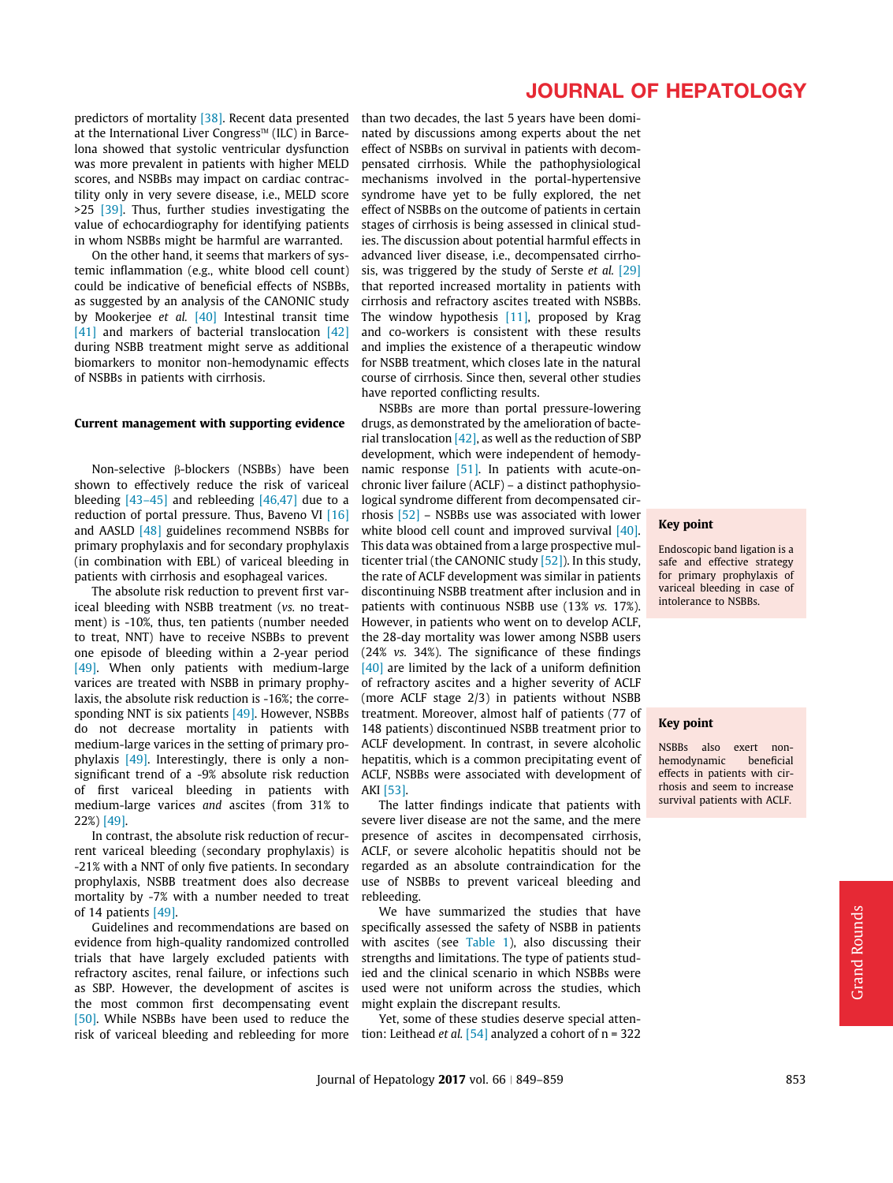predictors of mortality [\[38\].](#page-9-0) Recent data presented at the International Liver Congress<sup> $M$ </sup> (ILC) in Barcelona showed that systolic ventricular dysfunction was more prevalent in patients with higher MELD scores, and NSBBs may impact on cardiac contractility only in very severe disease, i.e., MELD score >25 [\[39\]](#page-9-0). Thus, further studies investigating the value of echocardiography for identifying patients in whom NSBBs might be harmful are warranted.

On the other hand, it seems that markers of systemic inflammation (e.g., white blood cell count) could be indicative of beneficial effects of NSBBs, as suggested by an analysis of the CANONIC study by Mookerjee et al. [\[40\]](#page-9-0) Intestinal transit time [\[41\]](#page-9-0) and markers of bacterial translocation [\[42\]](#page-9-0) during NSBB treatment might serve as additional biomarkers to monitor non-hemodynamic effects of NSBBs in patients with cirrhosis.

### Current management with supporting evidence

Non-selective b-blockers (NSBBs) have been shown to effectively reduce the risk of variceal bleeding  $[43-45]$  and rebleeding  $[46,47]$  due to a reduction of portal pressure. Thus, Baveno VI [\[16\]](#page-8-0) and AASLD [\[48\]](#page-9-0) guidelines recommend NSBBs for primary prophylaxis and for secondary prophylaxis (in combination with EBL) of variceal bleeding in patients with cirrhosis and esophageal varices.

The absolute risk reduction to prevent first variceal bleeding with NSBB treatment (vs. no treatment) is -10%, thus, ten patients (number needed to treat, NNT) have to receive NSBBs to prevent one episode of bleeding within a 2-year period [\[49\]](#page-9-0). When only patients with medium-large varices are treated with NSBB in primary prophylaxis, the absolute risk reduction is -16%; the corresponding NNT is six patients [\[49\].](#page-9-0) However, NSBBs do not decrease mortality in patients with medium-large varices in the setting of primary prophylaxis  $[49]$ . Interestingly, there is only a nonsignificant trend of a -9% absolute risk reduction of first variceal bleeding in patients with medium-large varices and ascites (from 31% to 22%) [\[49\].](#page-9-0)

In contrast, the absolute risk reduction of recurrent variceal bleeding (secondary prophylaxis) is -21% with a NNT of only five patients. In secondary prophylaxis, NSBB treatment does also decrease mortality by -7% with a number needed to treat of 14 patients [\[49\]](#page-9-0).

Guidelines and recommendations are based on evidence from high-quality randomized controlled trials that have largely excluded patients with refractory ascites, renal failure, or infections such as SBP. However, the development of ascites is the most common first decompensating event [\[50\].](#page-9-0) While NSBBs have been used to reduce the risk of variceal bleeding and rebleeding for more

# JOURNAL OF HEPATOLOGY

than two decades, the last 5 years have been dominated by discussions among experts about the net effect of NSBBs on survival in patients with decompensated cirrhosis. While the pathophysiological mechanisms involved in the portal-hypertensive syndrome have yet to be fully explored, the net effect of NSBBs on the outcome of patients in certain stages of cirrhosis is being assessed in clinical studies. The discussion about potential harmful effects in advanced liver disease, i.e., decompensated cirrhosis, was triggered by the study of Serste et al. [\[29\]](#page-9-0) that reported increased mortality in patients with cirrhosis and refractory ascites treated with NSBBs. The window hypothesis [\[11\],](#page-8-0) proposed by Krag and co-workers is consistent with these results and implies the existence of a therapeutic window for NSBB treatment, which closes late in the natural course of cirrhosis. Since then, several other studies have reported conflicting results.

NSBBs are more than portal pressure-lowering drugs, as demonstrated by the amelioration of bacterial translocation  $[42]$ , as well as the reduction of SBP development, which were independent of hemodynamic response [\[51\]](#page-9-0). In patients with acute-onchronic liver failure (ACLF) – a distinct pathophysiological syndrome different from decompensated cirrhosis [\[52\]](#page-9-0) – NSBBs use was associated with lower white blood cell count and improved survival [\[40\]](#page-9-0). This data was obtained from a large prospective multicenter trial (the CANONIC study [\[52\]\)](#page-9-0). In this study, the rate of ACLF development was similar in patients discontinuing NSBB treatment after inclusion and in patients with continuous NSBB use (13% vs. 17%). However, in patients who went on to develop ACLF, the 28-day mortality was lower among NSBB users (24% vs. 34%). The significance of these findings [\[40\]](#page-9-0) are limited by the lack of a uniform definition of refractory ascites and a higher severity of ACLF (more ACLF stage 2/3) in patients without NSBB treatment. Moreover, almost half of patients (77 of 148 patients) discontinued NSBB treatment prior to ACLF development. In contrast, in severe alcoholic hepatitis, which is a common precipitating event of ACLF, NSBBs were associated with development of AKI [\[53\]](#page-9-0).

The latter findings indicate that patients with severe liver disease are not the same, and the mere presence of ascites in decompensated cirrhosis, ACLF, or severe alcoholic hepatitis should not be regarded as an absolute contraindication for the use of NSBBs to prevent variceal bleeding and rebleeding.

We have summarized the studies that have specifically assessed the safety of NSBB in patients with ascites (see [Table 1](#page-3-0)), also discussing their strengths and limitations. The type of patients studied and the clinical scenario in which NSBBs were used were not uniform across the studies, which might explain the discrepant results.

Yet, some of these studies deserve special attention: Leithead et al.  $[54]$  analyzed a cohort of n = 322

## Key point

Endoscopic band ligation is a safe and effective strategy for primary prophylaxis of variceal bleeding in case of intolerance to NSBBs.

#### Key point

NSBBs also exert nonhemodynamic beneficial effects in patients with cirrhosis and seem to increase survival patients with ACLF.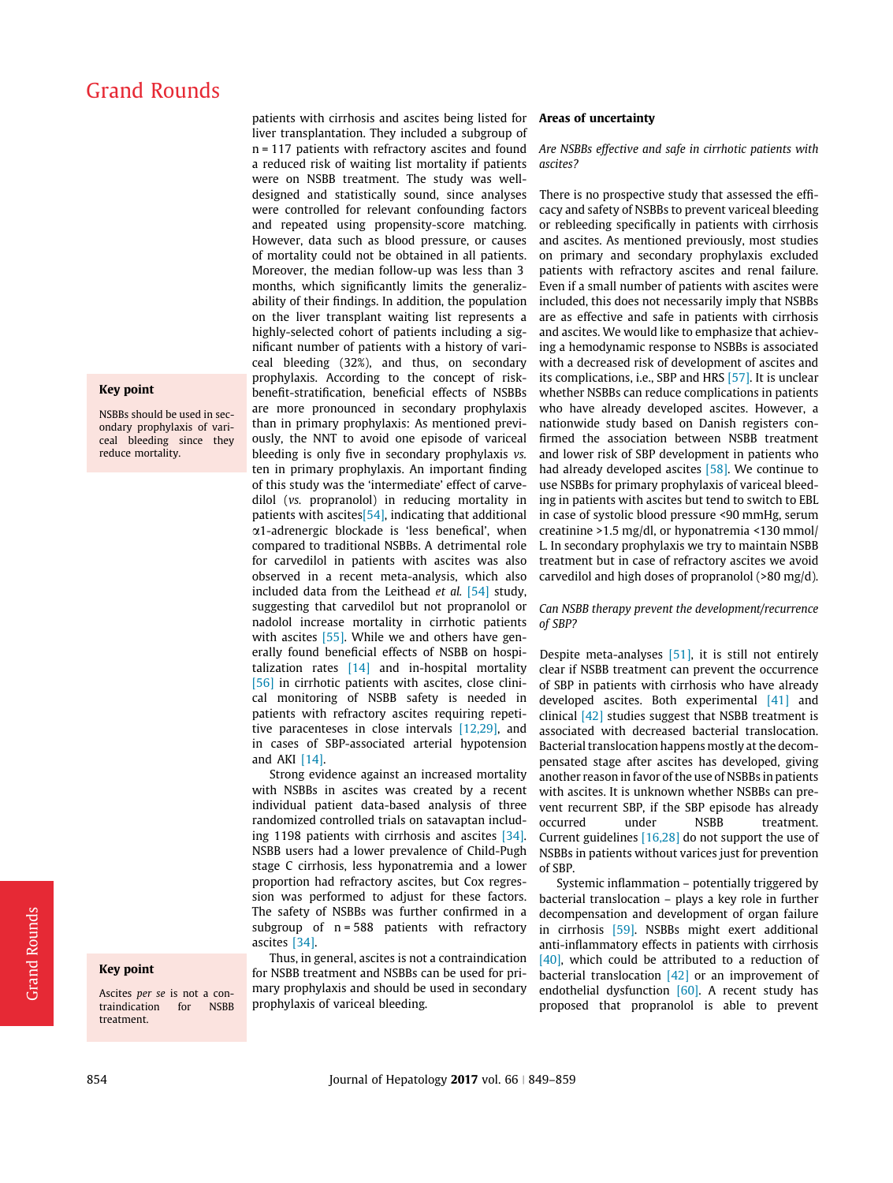## Key point

NSBBs should be used in secondary prophylaxis of variceal bleeding since they reduce mortality.

# Key point

Ascites per se is not a contraindication for NSBB treatment.

patients with cirrhosis and ascites being listed for **Areas of uncertainty** liver transplantation. They included a subgroup of n = 117 patients with refractory ascites and found a reduced risk of waiting list mortality if patients were on NSBB treatment. The study was welldesigned and statistically sound, since analyses were controlled for relevant confounding factors and repeated using propensity-score matching. However, data such as blood pressure, or causes of mortality could not be obtained in all patients. Moreover, the median follow-up was less than 3 months, which significantly limits the generalizability of their findings. In addition, the population on the liver transplant waiting list represents a highly-selected cohort of patients including a significant number of patients with a history of variceal bleeding (32%), and thus, on secondary prophylaxis. According to the concept of riskbenefit-stratification, beneficial effects of NSBBs are more pronounced in secondary prophylaxis than in primary prophylaxis: As mentioned previously, the NNT to avoid one episode of variceal bleeding is only five in secondary prophylaxis vs. ten in primary prophylaxis. An important finding of this study was the 'intermediate' effect of carvedilol (vs. propranolol) in reducing mortality in patients with ascites $[54]$ , indicating that additional a1-adrenergic blockade is 'less benefical', when compared to traditional NSBBs. A detrimental role for carvedilol in patients with ascites was also observed in a recent meta-analysis, which also included data from the Leithead et al. [\[54\]](#page-9-0) study, suggesting that carvedilol but not propranolol or nadolol increase mortality in cirrhotic patients with ascites [\[55\]](#page-9-0). While we and others have generally found beneficial effects of NSBB on hospitalization rates [\[14\]](#page-8-0) and in-hospital mortality [\[56\]](#page-9-0) in cirrhotic patients with ascites, close clinical monitoring of NSBB safety is needed in patients with refractory ascites requiring repetitive paracenteses in close intervals [\[12,29\]](#page-8-0), and in cases of SBP-associated arterial hypotension and AKI [\[14\].](#page-8-0)

Strong evidence against an increased mortality with NSBBs in ascites was created by a recent individual patient data-based analysis of three randomized controlled trials on satavaptan including 1198 patients with cirrhosis and ascites [\[34\]](#page-9-0). NSBB users had a lower prevalence of Child-Pugh stage C cirrhosis, less hyponatremia and a lower proportion had refractory ascites, but Cox regression was performed to adjust for these factors. The safety of NSBBs was further confirmed in a subgroup of n = 588 patients with refractory ascites [\[34\].](#page-9-0)

Thus, in general, ascites is not a contraindication for NSBB treatment and NSBBs can be used for primary prophylaxis and should be used in secondary prophylaxis of variceal bleeding.

Are NSBBs effective and safe in cirrhotic patients with ascites?

There is no prospective study that assessed the efficacy and safety of NSBBs to prevent variceal bleeding or rebleeding specifically in patients with cirrhosis and ascites. As mentioned previously, most studies on primary and secondary prophylaxis excluded patients with refractory ascites and renal failure. Even if a small number of patients with ascites were included, this does not necessarily imply that NSBBs are as effective and safe in patients with cirrhosis and ascites. We would like to emphasize that achieving a hemodynamic response to NSBBs is associated with a decreased risk of development of ascites and its complications, i.e., SBP and HRS [\[57\]](#page-9-0). It is unclear whether NSBBs can reduce complications in patients who have already developed ascites. However, a nationwide study based on Danish registers confirmed the association between NSBB treatment and lower risk of SBP development in patients who had already developed ascites [\[58\].](#page-9-0) We continue to use NSBBs for primary prophylaxis of variceal bleeding in patients with ascites but tend to switch to EBL in case of systolic blood pressure <90 mmHg, serum creatinine >1.5 mg/dl, or hyponatremia <130 mmol/ L. In secondary prophylaxis we try to maintain NSBB treatment but in case of refractory ascites we avoid carvedilol and high doses of propranolol (>80 mg/d).

Can NSBB therapy prevent the development/recurrence of SBP?

Despite meta-analyses [\[51\],](#page-9-0) it is still not entirely clear if NSBB treatment can prevent the occurrence of SBP in patients with cirrhosis who have already developed ascites. Both experimental [\[41\]](#page-9-0) and clinical [\[42\]](#page-9-0) studies suggest that NSBB treatment is associated with decreased bacterial translocation. Bacterial translocation happens mostly at the decompensated stage after ascites has developed, giving another reason in favor of the use of NSBBs in patients with ascites. It is unknown whether NSBBs can prevent recurrent SBP, if the SBP episode has already occurred under NSBB treatment. Current guidelines [\[16,28\]](#page-8-0) do not support the use of NSBBs in patients without varices just for prevention of SBP.

Systemic inflammation – potentially triggered by bacterial translocation – plays a key role in further decompensation and development of organ failure in cirrhosis [\[59\]](#page-9-0). NSBBs might exert additional anti-inflammatory effects in patients with cirrhosis [\[40\],](#page-9-0) which could be attributed to a reduction of bacterial translocation  $[42]$  or an improvement of endothelial dysfunction [\[60\].](#page-9-0) A recent study has proposed that propranolol is able to prevent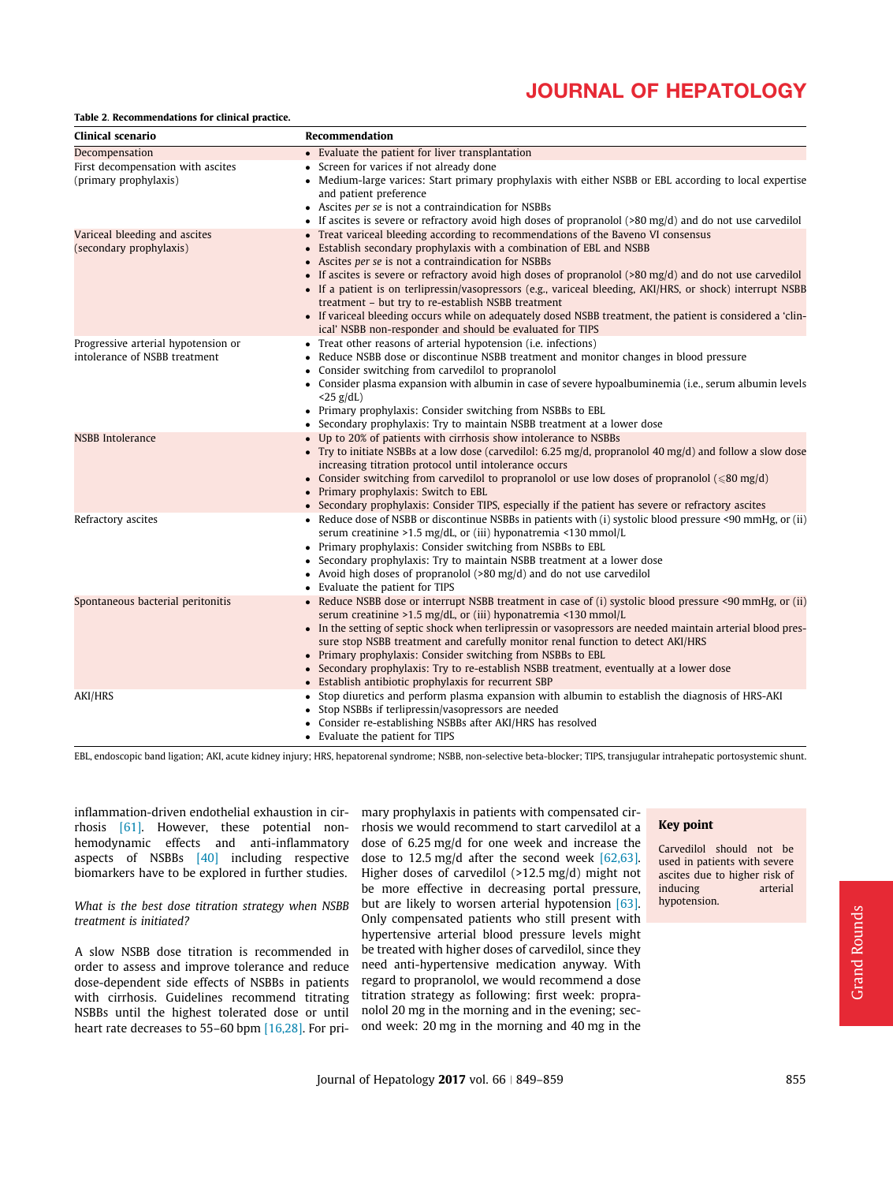## <span id="page-6-0"></span>Table 2. Recommendations for clinical practice.

| Clinical scenario                   | Recommendation                                                                                                                                                                         |
|-------------------------------------|----------------------------------------------------------------------------------------------------------------------------------------------------------------------------------------|
| Decompensation                      | • Evaluate the patient for liver transplantation                                                                                                                                       |
| First decompensation with ascites   | Screen for varices if not already done<br>٠                                                                                                                                            |
| (primary prophylaxis)               | Medium-large varices: Start primary prophylaxis with either NSBB or EBL according to local expertise<br>and patient preference                                                         |
|                                     | • Ascites per se is not a contraindication for NSBBs                                                                                                                                   |
|                                     | If ascites is severe or refractory avoid high doses of propranolol $(>80 \text{ mg/d})$ and do not use carvedilol                                                                      |
| Variceal bleeding and ascites       | Treat variceal bleeding according to recommendations of the Baveno VI consensus                                                                                                        |
| (secondary prophylaxis)             | Establish secondary prophylaxis with a combination of EBL and NSBB<br>$\bullet$<br>Ascites per se is not a contraindication for NSBBs                                                  |
|                                     | If ascites is severe or refractory avoid high doses of propranolol $(80 \text{ mg/d})$ and do not use carvedilol<br>$\bullet$                                                          |
|                                     | • If a patient is on terlipressin/vasopressors (e.g., variceal bleeding, AKI/HRS, or shock) interrupt NSBB<br>treatment - but try to re-establish NSBB treatment                       |
|                                     | • If variceal bleeding occurs while on adequately dosed NSBB treatment, the patient is considered a 'clin-<br>ical' NSBB non-responder and should be evaluated for TIPS                |
| Progressive arterial hypotension or | Treat other reasons of arterial hypotension ( <i>i.e.</i> infections)                                                                                                                  |
| intolerance of NSBB treatment       | Reduce NSBB dose or discontinue NSBB treatment and monitor changes in blood pressure                                                                                                   |
|                                     | Consider switching from carvedilol to propranolol                                                                                                                                      |
|                                     | Consider plasma expansion with albumin in case of severe hypoalbuminemia (i.e., serum albumin levels<br>$\bullet$                                                                      |
|                                     | $<$ 25 g/dL)<br>Primary prophylaxis: Consider switching from NSBBs to EBL<br>$\bullet$                                                                                                 |
|                                     | Secondary prophylaxis: Try to maintain NSBB treatment at a lower dose                                                                                                                  |
| <b>NSBB</b> Intolerance             | Up to 20% of patients with cirrhosis show intolerance to NSBBs                                                                                                                         |
|                                     | Try to initiate NSBBs at a low dose (carvedilol: 6.25 mg/d, propranolol 40 mg/d) and follow a slow dose<br>$\bullet$<br>increasing titration protocol until intolerance occurs         |
|                                     | Consider switching from carvedilol to propranolol or use low doses of propranolol ( $\leq 80$ mg/d)<br>Primary prophylaxis: Switch to EBL<br>$\bullet$                                 |
|                                     | • Secondary prophylaxis: Consider TIPS, especially if the patient has severe or refractory ascites                                                                                     |
| Refractory ascites                  | Reduce dose of NSBB or discontinue NSBBs in patients with (i) systolic blood pressure <90 mmHg, or (ii)<br>$\bullet$<br>serum creatinine >1.5 mg/dL, or (iii) hyponatremia <130 mmol/L |
|                                     | Primary prophylaxis: Consider switching from NSBBs to EBL                                                                                                                              |
|                                     | Secondary prophylaxis: Try to maintain NSBB treatment at a lower dose<br>$\bullet$                                                                                                     |
|                                     | • Avoid high doses of propranolol (>80 mg/d) and do not use carvedilol                                                                                                                 |
|                                     | Evaluate the patient for TIPS                                                                                                                                                          |
| Spontaneous bacterial peritonitis   | • Reduce NSBB dose or interrupt NSBB treatment in case of (i) systolic blood pressure <90 mmHg, or (ii)                                                                                |
|                                     | serum creatinine >1.5 mg/dL, or (iii) hyponatremia <130 mmol/L<br>• In the setting of septic shock when terlipressin or vasopressors are needed maintain arterial blood pres-          |
|                                     | sure stop NSBB treatment and carefully monitor renal function to detect AKI/HRS                                                                                                        |
|                                     | • Primary prophylaxis: Consider switching from NSBBs to EBL                                                                                                                            |
|                                     | • Secondary prophylaxis: Try to re-establish NSBB treatment, eventually at a lower dose                                                                                                |
|                                     | • Establish antibiotic prophylaxis for recurrent SBP                                                                                                                                   |
| AKI/HRS                             | Stop diuretics and perform plasma expansion with albumin to establish the diagnosis of HRS-AKI<br>$\bullet$                                                                            |
|                                     | • Stop NSBBs if terlipressin/vasopressors are needed                                                                                                                                   |
|                                     | Consider re-establishing NSBBs after AKI/HRS has resolved                                                                                                                              |
|                                     | • Evaluate the patient for TIPS                                                                                                                                                        |

EBL, endoscopic band ligation; AKI, acute kidney injury; HRS, hepatorenal syndrome; NSBB, non-selective beta-blocker; TIPS, transjugular intrahepatic portosystemic shunt.

inflammation-driven endothelial exhaustion in cirrhosis [\[61\]](#page-9-0). However, these potential nonhemodynamic effects and anti-inflammatory aspects of NSBBs [\[40\]](#page-9-0) including respective biomarkers have to be explored in further studies.

What is the best dose titration strategy when NSBB treatment is initiated?

A slow NSBB dose titration is recommended in order to assess and improve tolerance and reduce dose-dependent side effects of NSBBs in patients with cirrhosis. Guidelines recommend titrating NSBBs until the highest tolerated dose or until heart rate decreases to 55–60 bpm [\[16,28\]](#page-8-0). For pri-

mary prophylaxis in patients with compensated cirrhosis we would recommend to start carvedilol at a dose of 6.25 mg/d for one week and increase the dose to 12.5 mg/d after the second week [\[62,63\]](#page-9-0). Higher doses of carvedilol (>12.5 mg/d) might not be more effective in decreasing portal pressure, but are likely to worsen arterial hypotension [\[63\]](#page-10-0). Only compensated patients who still present with hypertensive arterial blood pressure levels might be treated with higher doses of carvedilol, since they need anti-hypertensive medication anyway. With regard to propranolol, we would recommend a dose titration strategy as following: first week: propranolol 20 mg in the morning and in the evening; second week: 20 mg in the morning and 40 mg in the

## Key point

Carvedilol should not be used in patients with severe ascites due to higher risk of inducing arterial hypotension.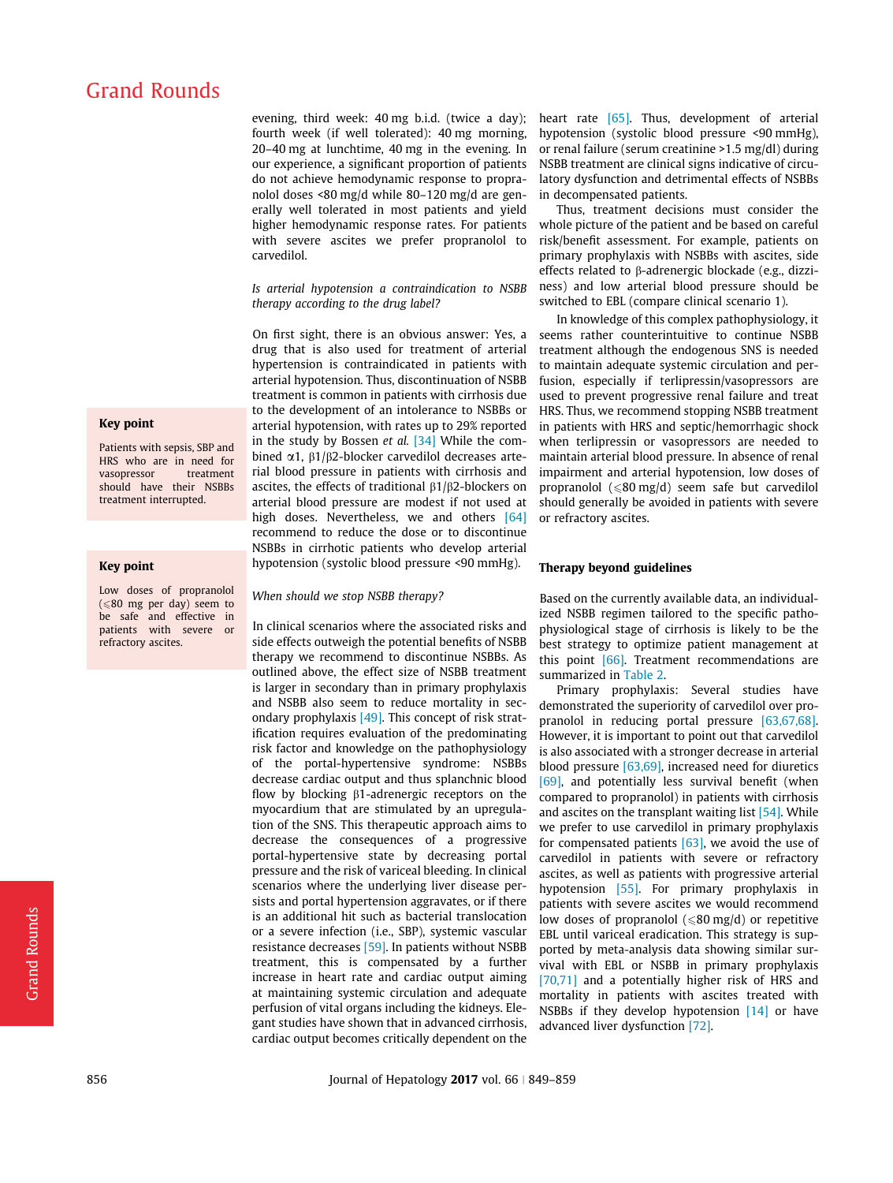evening, third week: 40 mg b.i.d. (twice a day); fourth week (if well tolerated): 40 mg morning, 20–40 mg at lunchtime, 40 mg in the evening. In our experience, a significant proportion of patients do not achieve hemodynamic response to propranolol doses <80 mg/d while 80–120 mg/d are generally well tolerated in most patients and yield higher hemodynamic response rates. For patients with severe ascites we prefer propranolol to carvedilol.

Is arterial hypotension a contraindication to NSBB therapy according to the drug label?

On first sight, there is an obvious answer: Yes, a drug that is also used for treatment of arterial hypertension is contraindicated in patients with arterial hypotension. Thus, discontinuation of NSBB treatment is common in patients with cirrhosis due to the development of an intolerance to NSBBs or arterial hypotension, with rates up to 29% reported in the study by Bossen et al. [\[34\]](#page-9-0) While the combined  $\alpha$ 1,  $\beta$ 1/ $\beta$ 2-blocker carvedilol decreases arterial blood pressure in patients with cirrhosis and ascites, the effects of traditional  $\beta$ 1/ $\beta$ 2-blockers on arterial blood pressure are modest if not used at high doses. Nevertheless, we and others [\[64\]](#page-10-0) recommend to reduce the dose or to discontinue NSBBs in cirrhotic patients who develop arterial hypotension (systolic blood pressure <90 mmHg).

## When should we stop NSBB therapy?

In clinical scenarios where the associated risks and side effects outweigh the potential benefits of NSBB therapy we recommend to discontinue NSBBs. As outlined above, the effect size of NSBB treatment is larger in secondary than in primary prophylaxis and NSBB also seem to reduce mortality in secondary prophylaxis  $[49]$ . This concept of risk stratification requires evaluation of the predominating risk factor and knowledge on the pathophysiology of the portal-hypertensive syndrome: NSBBs decrease cardiac output and thus splanchnic blood flow by blocking  $\beta$ 1-adrenergic receptors on the myocardium that are stimulated by an upregulation of the SNS. This therapeutic approach aims to decrease the consequences of a progressive portal-hypertensive state by decreasing portal pressure and the risk of variceal bleeding. In clinical scenarios where the underlying liver disease persists and portal hypertension aggravates, or if there is an additional hit such as bacterial translocation or a severe infection (i.e., SBP), systemic vascular resistance decreases [\[59\].](#page-9-0) In patients without NSBB treatment, this is compensated by a further increase in heart rate and cardiac output aiming at maintaining systemic circulation and adequate perfusion of vital organs including the kidneys. Elegant studies have shown that in advanced cirrhosis, cardiac output becomes critically dependent on the heart rate [\[65\].](#page-10-0) Thus, development of arterial hypotension (systolic blood pressure <90 mmHg), or renal failure (serum creatinine >1.5 mg/dl) during NSBB treatment are clinical signs indicative of circulatory dysfunction and detrimental effects of NSBBs in decompensated patients.

Thus, treatment decisions must consider the whole picture of the patient and be based on careful risk/benefit assessment. For example, patients on primary prophylaxis with NSBBs with ascites, side effects related to  $\beta$ -adrenergic blockade (e.g., dizziness) and low arterial blood pressure should be switched to EBL (compare clinical scenario 1).

In knowledge of this complex pathophysiology, it seems rather counterintuitive to continue NSBB treatment although the endogenous SNS is needed to maintain adequate systemic circulation and perfusion, especially if terlipressin/vasopressors are used to prevent progressive renal failure and treat HRS. Thus, we recommend stopping NSBB treatment in patients with HRS and septic/hemorrhagic shock when terlipressin or vasopressors are needed to maintain arterial blood pressure. In absence of renal impairment and arterial hypotension, low doses of propranolol  $(\leq 80 \text{ mg/d})$  seem safe but carvedilol should generally be avoided in patients with severe or refractory ascites.

### Therapy beyond guidelines

Based on the currently available data, an individualized NSBB regimen tailored to the specific pathophysiological stage of cirrhosis is likely to be the best strategy to optimize patient management at this point [\[66\]](#page-10-0). Treatment recommendations are summarized in [Table 2.](#page-6-0)

Primary prophylaxis: Several studies have demonstrated the superiority of carvedilol over propranolol in reducing portal pressure [\[63,67,68\]](#page-10-0). However, it is important to point out that carvedilol is also associated with a stronger decrease in arterial blood pressure  $[63,69]$ , increased need for diuretics [\[69\],](#page-10-0) and potentially less survival benefit (when compared to propranolol) in patients with cirrhosis and ascites on the transplant waiting list [\[54\]](#page-9-0). While we prefer to use carvedilol in primary prophylaxis for compensated patients  $[63]$ , we avoid the use of carvedilol in patients with severe or refractory ascites, as well as patients with progressive arterial hypotension [\[55\].](#page-9-0) For primary prophylaxis in patients with severe ascites we would recommend low doses of propranolol  $(\leq 80 \text{ mg/d})$  or repetitive EBL until variceal eradication. This strategy is supported by meta-analysis data showing similar survival with EBL or NSBB in primary prophylaxis [\[70,71\]](#page-10-0) and a potentially higher risk of HRS and mortality in patients with ascites treated with NSBBs if they develop hypotension [\[14\]](#page-8-0) or have advanced liver dysfunction [\[72\]](#page-10-0).

# Key point

Patients with sepsis, SBP and HRS who are in need for vasopressor should have their NSBBs treatment interrupted.

#### Key point

Low doses of propranolol  $(\leq 80$  mg per day) seem to be safe and effective in patients with severe or refractory ascites.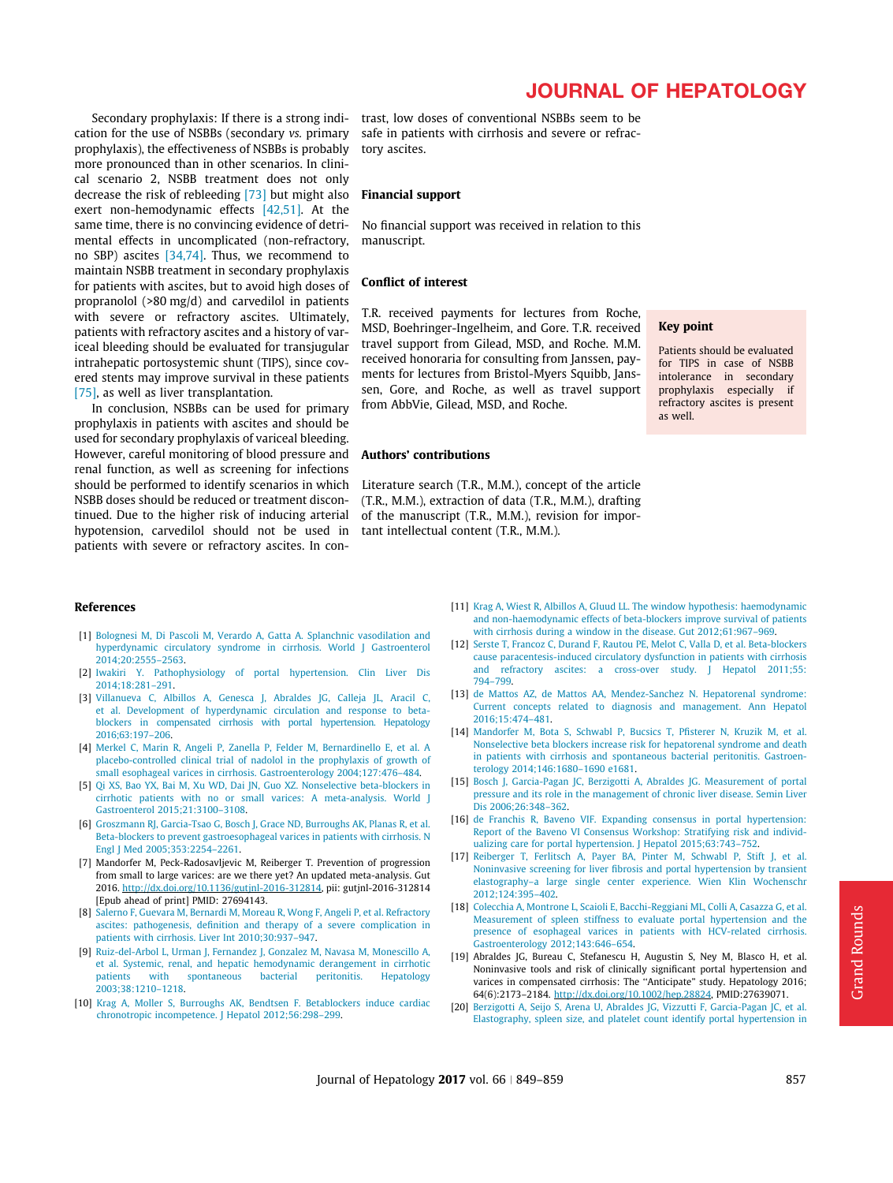<span id="page-8-0"></span>Secondary prophylaxis: If there is a strong indication for the use of NSBBs (secondary vs. primary prophylaxis), the effectiveness of NSBBs is probably more pronounced than in other scenarios. In clinical scenario 2, NSBB treatment does not only decrease the risk of rebleeding [\[73\]](#page-10-0) but might also exert non-hemodynamic effects [\[42,51\]](#page-9-0). At the same time, there is no convincing evidence of detrimental effects in uncomplicated (non-refractory, no SBP) ascites [\[34,74\]](#page-9-0). Thus, we recommend to maintain NSBB treatment in secondary prophylaxis for patients with ascites, but to avoid high doses of propranolol (>80 mg/d) and carvedilol in patients with severe or refractory ascites. Ultimately, patients with refractory ascites and a history of variceal bleeding should be evaluated for transjugular intrahepatic portosystemic shunt (TIPS), since covered stents may improve survival in these patients [\[75\]](#page-10-0), as well as liver transplantation.

In conclusion, NSBBs can be used for primary prophylaxis in patients with ascites and should be used for secondary prophylaxis of variceal bleeding. However, careful monitoring of blood pressure and renal function, as well as screening for infections should be performed to identify scenarios in which NSBB doses should be reduced or treatment discontinued. Due to the higher risk of inducing arterial hypotension, carvedilol should not be used in patients with severe or refractory ascites. In con-

trast, low doses of conventional NSBBs seem to be safe in patients with cirrhosis and severe or refractory ascites.

#### Financial support

No financial support was received in relation to this manuscript.

#### Conflict of interest

T.R. received payments for lectures from Roche, MSD, Boehringer-Ingelheim, and Gore. T.R. received travel support from Gilead, MSD, and Roche. M.M. received honoraria for consulting from Janssen, payments for lectures from Bristol-Myers Squibb, Janssen, Gore, and Roche, as well as travel support from AbbVie, Gilead, MSD, and Roche.

#### Key point

Patients should be evaluated for TIPS in case of NSBB intolerance in secondary prophylaxis especially if refractory ascites is present as well.

## Authors' contributions

Literature search (T.R., M.M.), concept of the article (T.R., M.M.), extraction of data (T.R., M.M.), drafting of the manuscript (T.R., M.M.), revision for important intellectual content (T.R., M.M.).

#### References

- [1] [Bolognesi M, Di Pascoli M, Verardo A, Gatta A. Splanchnic vasodilation and](http://refhub.elsevier.com/S0168-8278(16)30647-X/h0005) [hyperdynamic circulatory syndrome in cirrhosis. World J Gastroenterol](http://refhub.elsevier.com/S0168-8278(16)30647-X/h0005) [2014;20:2555–2563.](http://refhub.elsevier.com/S0168-8278(16)30647-X/h0005)
- [2] [Iwakiri Y. Pathophysiology of portal hypertension. Clin Liver Dis](http://refhub.elsevier.com/S0168-8278(16)30647-X/h0010) [2014;18:281–291.](http://refhub.elsevier.com/S0168-8278(16)30647-X/h0010)
- [3] [Villanueva C, Albillos A, Genesca J, Abraldes JG, Calleja JL, Aracil C,](http://refhub.elsevier.com/S0168-8278(16)30647-X/h0015) [et al. Development of hyperdynamic circulation and response to beta](http://refhub.elsevier.com/S0168-8278(16)30647-X/h0015)[blockers in compensated cirrhosis with portal hypertension. Hepatology](http://refhub.elsevier.com/S0168-8278(16)30647-X/h0015) [2016;63:197–206.](http://refhub.elsevier.com/S0168-8278(16)30647-X/h0015)
- [4] [Merkel C, Marin R, Angeli P, Zanella P, Felder M, Bernardinello E, et al. A](http://refhub.elsevier.com/S0168-8278(16)30647-X/h0020) [placebo-controlled clinical trial of nadolol in the prophylaxis of growth of](http://refhub.elsevier.com/S0168-8278(16)30647-X/h0020) [small esophageal varices in cirrhosis. Gastroenterology 2004;127:476–484.](http://refhub.elsevier.com/S0168-8278(16)30647-X/h0020)
- [5] [Qi XS, Bao YX, Bai M, Xu WD, Dai JN, Guo XZ. Nonselective beta-blockers in](http://refhub.elsevier.com/S0168-8278(16)30647-X/h0025) [cirrhotic patients with no or small varices: A meta-analysis. World J](http://refhub.elsevier.com/S0168-8278(16)30647-X/h0025) [Gastroenterol 2015;21:3100–3108](http://refhub.elsevier.com/S0168-8278(16)30647-X/h0025).
- [6] [Groszmann RJ, Garcia-Tsao G, Bosch J, Grace ND, Burroughs AK, Planas R, et al.](http://refhub.elsevier.com/S0168-8278(16)30647-X/h0030) [Beta-blockers to prevent gastroesophageal varices in patients with cirrhosis. N](http://refhub.elsevier.com/S0168-8278(16)30647-X/h0030) [Engl J Med 2005;353:2254–2261](http://refhub.elsevier.com/S0168-8278(16)30647-X/h0030).
- [7] Mandorfer M, Peck-Radosavljevic M, Reiberger T. Prevention of progression from small to large varices: are we there yet? An updated meta-analysis. Gut 2016. <http://dx.doi.org/10.1136/gutjnl-2016-312814>, pii: gutjnl-2016-312814 [Epub ahead of print] PMID: 27694143.
- [8] [Salerno F, Guevara M, Bernardi M, Moreau R, Wong F, Angeli P, et al. Refractory](http://refhub.elsevier.com/S0168-8278(16)30647-X/h0040) [ascites: pathogenesis, definition and therapy of a severe complication in](http://refhub.elsevier.com/S0168-8278(16)30647-X/h0040) [patients with cirrhosis. Liver Int 2010;30:937–947](http://refhub.elsevier.com/S0168-8278(16)30647-X/h0040).
- [9] [Ruiz-del-Arbol L, Urman J, Fernandez J, Gonzalez M, Navasa M, Monescillo A,](http://refhub.elsevier.com/S0168-8278(16)30647-X/h0045) [et al. Systemic, renal, and hepatic hemodynamic derangement in cirrhotic](http://refhub.elsevier.com/S0168-8278(16)30647-X/h0045) [patients with spontaneous bacterial peritonitis. Hepatology](http://refhub.elsevier.com/S0168-8278(16)30647-X/h0045) [2003;38:1210–1218.](http://refhub.elsevier.com/S0168-8278(16)30647-X/h0045)
- [10] [Krag A, Moller S, Burroughs AK, Bendtsen F. Betablockers induce cardiac](http://refhub.elsevier.com/S0168-8278(16)30647-X/h0050) [chronotropic incompetence. J Hepatol 2012;56:298–299.](http://refhub.elsevier.com/S0168-8278(16)30647-X/h0050)
- [11] [Krag A, Wiest R, Albillos A, Gluud LL. The window hypothesis: haemodynamic](http://refhub.elsevier.com/S0168-8278(16)30647-X/h0055) [and non-haemodynamic effects of beta-blockers improve survival of patients](http://refhub.elsevier.com/S0168-8278(16)30647-X/h0055) [with cirrhosis during a window in the disease. Gut 2012;61:967–969](http://refhub.elsevier.com/S0168-8278(16)30647-X/h0055).
- [12] [Serste T, Francoz C, Durand F, Rautou PE, Melot C, Valla D, et al. Beta-blockers](http://refhub.elsevier.com/S0168-8278(16)30647-X/h0060) [cause paracentesis-induced circulatory dysfunction in patients with cirrhosis](http://refhub.elsevier.com/S0168-8278(16)30647-X/h0060) [and refractory ascites: a cross-over study. J Hepatol 2011;55:](http://refhub.elsevier.com/S0168-8278(16)30647-X/h0060) [794–799.](http://refhub.elsevier.com/S0168-8278(16)30647-X/h0060)
- [13] [de Mattos AZ, de Mattos AA, Mendez-Sanchez N. Hepatorenal syndrome:](http://refhub.elsevier.com/S0168-8278(16)30647-X/h0065) [Current concepts related to diagnosis and management. Ann Hepatol](http://refhub.elsevier.com/S0168-8278(16)30647-X/h0065) [2016;15:474–481](http://refhub.elsevier.com/S0168-8278(16)30647-X/h0065).
- [14] [Mandorfer M, Bota S, Schwabl P, Bucsics T, Pfisterer N, Kruzik M, et al.](http://refhub.elsevier.com/S0168-8278(16)30647-X/h0070) [Nonselective beta blockers increase risk for hepatorenal syndrome and death](http://refhub.elsevier.com/S0168-8278(16)30647-X/h0070) [in patients with cirrhosis and spontaneous bacterial peritonitis. Gastroen](http://refhub.elsevier.com/S0168-8278(16)30647-X/h0070)[terology 2014;146:1680–1690 e1681](http://refhub.elsevier.com/S0168-8278(16)30647-X/h0070).
- [15] [Bosch J, Garcia-Pagan JC, Berzigotti A, Abraldes JG. Measurement of portal](http://refhub.elsevier.com/S0168-8278(16)30647-X/h0075) [pressure and its role in the management of chronic liver disease. Semin Liver](http://refhub.elsevier.com/S0168-8278(16)30647-X/h0075) [Dis 2006;26:348–362.](http://refhub.elsevier.com/S0168-8278(16)30647-X/h0075)
- [16] [de Franchis R, Baveno VIF. Expanding consensus in portal hypertension:](http://refhub.elsevier.com/S0168-8278(16)30647-X/h0080) [Report of the Baveno VI Consensus Workshop: Stratifying risk and individ](http://refhub.elsevier.com/S0168-8278(16)30647-X/h0080)[ualizing care for portal hypertension. J Hepatol 2015;63:743–752](http://refhub.elsevier.com/S0168-8278(16)30647-X/h0080).
- [17] [Reiberger T, Ferlitsch A, Payer BA, Pinter M, Schwabl P, Stift J, et al.](http://refhub.elsevier.com/S0168-8278(16)30647-X/h0085) [Noninvasive screening for liver fibrosis and portal hypertension by transient](http://refhub.elsevier.com/S0168-8278(16)30647-X/h0085) [elastography–a large single center experience. Wien Klin Wochenschr](http://refhub.elsevier.com/S0168-8278(16)30647-X/h0085) [2012;124:395–402](http://refhub.elsevier.com/S0168-8278(16)30647-X/h0085).
- [18] [Colecchia A, Montrone L, Scaioli E, Bacchi-Reggiani ML, Colli A, Casazza G, et al.](http://refhub.elsevier.com/S0168-8278(16)30647-X/h0090) [Measurement of spleen stiffness to evaluate portal hypertension and the](http://refhub.elsevier.com/S0168-8278(16)30647-X/h0090) [presence of esophageal varices in patients with HCV-related cirrhosis.](http://refhub.elsevier.com/S0168-8278(16)30647-X/h0090) [Gastroenterology 2012;143:646–654](http://refhub.elsevier.com/S0168-8278(16)30647-X/h0090).
- [19] Abraldes JG, Bureau C, Stefanescu H, Augustin S, Ney M, Blasco H, et al. Noninvasive tools and risk of clinically significant portal hypertension and varices in compensated cirrhosis: The ''Anticipate" study. Hepatology 2016; 64(6):2173–2184. [http://dx.doi.org/10.1002/hep.28824,](http://dx.doi.org/10.1002/hep.28824) PMID:27639071.
- [20] [Berzigotti A, Seijo S, Arena U, Abraldes JG, Vizzutti F, Garcia-Pagan JC, et al.](http://refhub.elsevier.com/S0168-8278(16)30647-X/h0100) [Elastography, spleen size, and platelet count identify portal hypertension in](http://refhub.elsevier.com/S0168-8278(16)30647-X/h0100)

# JOURNAL OF HEPATOLOGY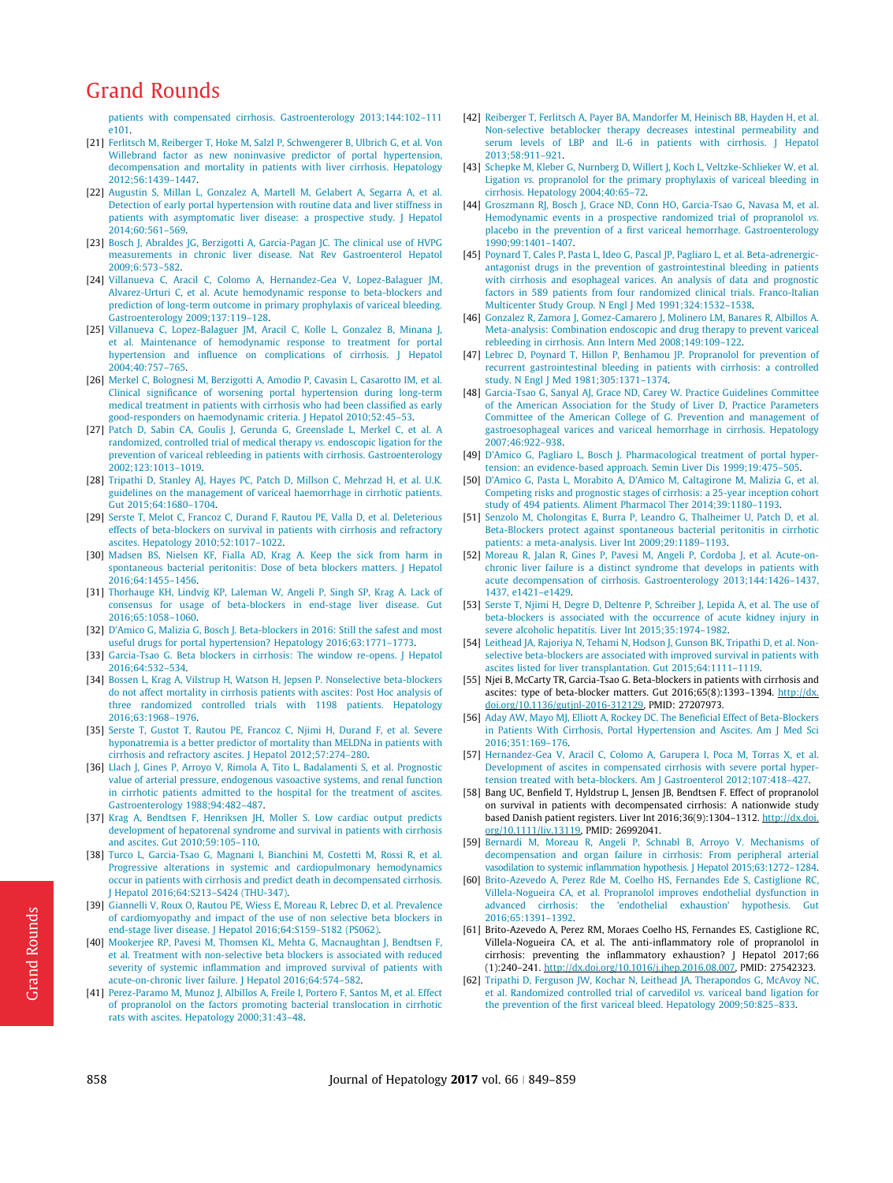<span id="page-9-0"></span>[patients with compensated cirrhosis. Gastroenterology 2013;144:102–111](http://refhub.elsevier.com/S0168-8278(16)30647-X/h0100) [e101.](http://refhub.elsevier.com/S0168-8278(16)30647-X/h0100)

- [21] [Ferlitsch M, Reiberger T, Hoke M, Salzl P, Schwengerer B, Ulbrich G, et al. Von](http://refhub.elsevier.com/S0168-8278(16)30647-X/h0105) Willebrand factor as new noninvasive predictor of portal hypertension. [decompensation and mortality in patients with liver cirrhosis. Hepatology](http://refhub.elsevier.com/S0168-8278(16)30647-X/h0105) [2012;56:1439–1447.](http://refhub.elsevier.com/S0168-8278(16)30647-X/h0105)
- [22] [Augustin S, Millan L, Gonzalez A, Martell M, Gelabert A, Segarra A, et al.](http://refhub.elsevier.com/S0168-8278(16)30647-X/h0110) [Detection of early portal hypertension with routine data and liver stiffness in](http://refhub.elsevier.com/S0168-8278(16)30647-X/h0110) [patients with asymptomatic liver disease: a prospective study. J Hepatol](http://refhub.elsevier.com/S0168-8278(16)30647-X/h0110) [2014;60:561–569](http://refhub.elsevier.com/S0168-8278(16)30647-X/h0110).
- [23] [Bosch J, Abraldes JG, Berzigotti A, Garcia-Pagan JC. The clinical use of HVPG](http://refhub.elsevier.com/S0168-8278(16)30647-X/h0115) [measurements in chronic liver disease. Nat Rev Gastroenterol Hepatol](http://refhub.elsevier.com/S0168-8278(16)30647-X/h0115) [2009;6:573–582.](http://refhub.elsevier.com/S0168-8278(16)30647-X/h0115)
- [24] [Villanueva C, Aracil C, Colomo A, Hernandez-Gea V, Lopez-Balaguer JM,](http://refhub.elsevier.com/S0168-8278(16)30647-X/h0120) [Alvarez-Urturi C, et al. Acute hemodynamic response to beta-blockers and](http://refhub.elsevier.com/S0168-8278(16)30647-X/h0120) [prediction of long-term outcome in primary prophylaxis of variceal bleeding.](http://refhub.elsevier.com/S0168-8278(16)30647-X/h0120) [Gastroenterology 2009;137:119–128.](http://refhub.elsevier.com/S0168-8278(16)30647-X/h0120)
- [25] [Villanueva C, Lopez-Balaguer JM, Aracil C, Kolle L, Gonzalez B, Minana J,](http://refhub.elsevier.com/S0168-8278(16)30647-X/h0125) [et al. Maintenance of hemodynamic response to treatment for portal](http://refhub.elsevier.com/S0168-8278(16)30647-X/h0125) [hypertension and influence on complications of cirrhosis. J Hepatol](http://refhub.elsevier.com/S0168-8278(16)30647-X/h0125) [2004;40:757–765](http://refhub.elsevier.com/S0168-8278(16)30647-X/h0125).
- [26] [Merkel C, Bolognesi M, Berzigotti A, Amodio P, Cavasin L, Casarotto IM, et al.](http://refhub.elsevier.com/S0168-8278(16)30647-X/h0130) [Clinical significance of worsening portal hypertension during long-term](http://refhub.elsevier.com/S0168-8278(16)30647-X/h0130) [medical treatment in patients with cirrhosis who had been classified as early](http://refhub.elsevier.com/S0168-8278(16)30647-X/h0130) [good-responders on haemodynamic criteria. J Hepatol 2010;52:45–53.](http://refhub.elsevier.com/S0168-8278(16)30647-X/h0130)
- [27] [Patch D, Sabin CA, Goulis J, Gerunda G, Greenslade L, Merkel C, et al. A](http://refhub.elsevier.com/S0168-8278(16)30647-X/h0135) [randomized, controlled trial of medical therapy](http://refhub.elsevier.com/S0168-8278(16)30647-X/h0135) vs. endoscopic ligation for the [prevention of variceal rebleeding in patients with cirrhosis. Gastroenterology](http://refhub.elsevier.com/S0168-8278(16)30647-X/h0135) [2002;123:1013–1019](http://refhub.elsevier.com/S0168-8278(16)30647-X/h0135).
- [28] [Tripathi D, Stanley AJ, Hayes PC, Patch D, Millson C, Mehrzad H, et al. U.K.](http://refhub.elsevier.com/S0168-8278(16)30647-X/h0140) [guidelines on the management of variceal haemorrhage in cirrhotic patients.](http://refhub.elsevier.com/S0168-8278(16)30647-X/h0140) [Gut 2015;64:1680–1704.](http://refhub.elsevier.com/S0168-8278(16)30647-X/h0140)
- [29] [Serste T, Melot C, Francoz C, Durand F, Rautou PE, Valla D, et al. Deleterious](http://refhub.elsevier.com/S0168-8278(16)30647-X/h0145) [effects of beta-blockers on survival in patients with cirrhosis and refractory](http://refhub.elsevier.com/S0168-8278(16)30647-X/h0145) [ascites. Hepatology 2010;52:1017–1022.](http://refhub.elsevier.com/S0168-8278(16)30647-X/h0145)
- [30] [Madsen BS, Nielsen KF, Fialla AD, Krag A. Keep the sick from harm in](http://refhub.elsevier.com/S0168-8278(16)30647-X/h0150) [spontaneous bacterial peritonitis: Dose of beta blockers matters. J Hepatol](http://refhub.elsevier.com/S0168-8278(16)30647-X/h0150) [2016;64:1455–1456.](http://refhub.elsevier.com/S0168-8278(16)30647-X/h0150)
- [31] [Thorhauge KH, Lindvig KP, Laleman W, Angeli P, Singh SP, Krag A. Lack of](http://refhub.elsevier.com/S0168-8278(16)30647-X/h0155) [consensus for usage of beta-blockers in end-stage liver disease. Gut](http://refhub.elsevier.com/S0168-8278(16)30647-X/h0155) [2016;65:1058–1060.](http://refhub.elsevier.com/S0168-8278(16)30647-X/h0155)
- [32] [D'Amico G, Malizia G, Bosch J. Beta-blockers in 2016: Still the safest and most](http://refhub.elsevier.com/S0168-8278(16)30647-X/h0160) [useful drugs for portal hypertension? Hepatology 2016;63:1771–1773.](http://refhub.elsevier.com/S0168-8278(16)30647-X/h0160)
- [33] [Garcia-Tsao G. Beta blockers in cirrhosis: The window re-opens. J Hepatol](http://refhub.elsevier.com/S0168-8278(16)30647-X/h0165) [2016;64:532–534](http://refhub.elsevier.com/S0168-8278(16)30647-X/h0165).
- [34] [Bossen L, Krag A, Vilstrup H, Watson H, Jepsen P. Nonselective beta-blockers](http://refhub.elsevier.com/S0168-8278(16)30647-X/h0170) [do not affect mortality in cirrhosis patients with ascites: Post Hoc analysis of](http://refhub.elsevier.com/S0168-8278(16)30647-X/h0170) [three randomized controlled trials with 1198 patients. Hepatology](http://refhub.elsevier.com/S0168-8278(16)30647-X/h0170) [2016;63:1968–1976.](http://refhub.elsevier.com/S0168-8278(16)30647-X/h0170)
- [35] [Serste T, Gustot T, Rautou PE, Francoz C, Njimi H, Durand F, et al. Severe](http://refhub.elsevier.com/S0168-8278(16)30647-X/h0175) [hyponatremia is a better predictor of mortality than MELDNa in patients with](http://refhub.elsevier.com/S0168-8278(16)30647-X/h0175) [cirrhosis and refractory ascites. J Hepatol 2012;57:274–280.](http://refhub.elsevier.com/S0168-8278(16)30647-X/h0175)
- [36] [Llach J, Gines P, Arroyo V, Rimola A, Tito L, Badalamenti S, et al. Prognostic](http://refhub.elsevier.com/S0168-8278(16)30647-X/h0180) [value of arterial pressure, endogenous vasoactive systems, and renal function](http://refhub.elsevier.com/S0168-8278(16)30647-X/h0180) [in cirrhotic patients admitted to the hospital for the treatment of ascites.](http://refhub.elsevier.com/S0168-8278(16)30647-X/h0180) [Gastroenterology 1988;94:482–487](http://refhub.elsevier.com/S0168-8278(16)30647-X/h0180).
- [37] [Krag A, Bendtsen F, Henriksen JH, Moller S. Low cardiac output predicts](http://refhub.elsevier.com/S0168-8278(16)30647-X/h0185) [development of hepatorenal syndrome and survival in patients with cirrhosis](http://refhub.elsevier.com/S0168-8278(16)30647-X/h0185) [and ascites. Gut 2010;59:105–110.](http://refhub.elsevier.com/S0168-8278(16)30647-X/h0185)
- [38] [Turco L, Garcia-Tsao G, Magnani I, Bianchini M, Costetti M, Rossi R, et al.](http://refhub.elsevier.com/S0168-8278(16)30647-X/h0190) [Progressive alterations in systemic and cardiopulmonary hemodynamics](http://refhub.elsevier.com/S0168-8278(16)30647-X/h0190) [occur in patients with cirrhosis and predict death in decompensated cirrhosis.](http://refhub.elsevier.com/S0168-8278(16)30647-X/h0190) [J Hepatol 2016;64:S213–S424 \(THU-347\).](http://refhub.elsevier.com/S0168-8278(16)30647-X/h0190)
- [39] [Giannelli V, Roux O, Rautou PE, Wiess E, Moreau R, Lebrec D, et al. Prevalence](http://refhub.elsevier.com/S0168-8278(16)30647-X/h0195) [of cardiomyopathy and impact of the use of non selective beta blockers in](http://refhub.elsevier.com/S0168-8278(16)30647-X/h0195) [end-stage liver disease. J Hepatol 2016;64:S159–S182 \(PS062\).](http://refhub.elsevier.com/S0168-8278(16)30647-X/h0195)
- [40] [Mookerjee RP, Pavesi M, Thomsen KL, Mehta G, Macnaughtan J, Bendtsen F,](http://refhub.elsevier.com/S0168-8278(16)30647-X/h0200) [et al. Treatment with non-selective beta blockers is associated with reduced](http://refhub.elsevier.com/S0168-8278(16)30647-X/h0200) [severity of systemic inflammation and improved survival of patients with](http://refhub.elsevier.com/S0168-8278(16)30647-X/h0200) [acute-on-chronic liver failure. J Hepatol 2016;64:574–582](http://refhub.elsevier.com/S0168-8278(16)30647-X/h0200).
- [41] [Perez-Paramo M, Munoz J, Albillos A, Freile I, Portero F, Santos M, et al. Effect](http://refhub.elsevier.com/S0168-8278(16)30647-X/h0205) [of propranolol on the factors promoting bacterial translocation in cirrhotic](http://refhub.elsevier.com/S0168-8278(16)30647-X/h0205) [rats with ascites. Hepatology 2000;31:43–48](http://refhub.elsevier.com/S0168-8278(16)30647-X/h0205).
- [42] [Reiberger T, Ferlitsch A, Payer BA, Mandorfer M, Heinisch BB, Hayden H, et al.](http://refhub.elsevier.com/S0168-8278(16)30647-X/h0210) [Non-selective betablocker therapy decreases intestinal permeability and](http://refhub.elsevier.com/S0168-8278(16)30647-X/h0210) [serum levels of LBP and IL-6 in patients with cirrhosis. J Hepatol](http://refhub.elsevier.com/S0168-8278(16)30647-X/h0210) [2013;58:911–921.](http://refhub.elsevier.com/S0168-8278(16)30647-X/h0210)
- [43] [Schepke M, Kleber G, Nurnberg D, Willert J, Koch L, Veltzke-Schlieker W, et al.](http://refhub.elsevier.com/S0168-8278(16)30647-X/h0215) Ligation vs. [propranolol for the primary prophylaxis of variceal bleeding in](http://refhub.elsevier.com/S0168-8278(16)30647-X/h0215) [cirrhosis. Hepatology 2004;40:65–72.](http://refhub.elsevier.com/S0168-8278(16)30647-X/h0215)
- [44] [Groszmann RJ, Bosch J, Grace ND, Conn HO, Garcia-Tsao G, Navasa M, et al.](http://refhub.elsevier.com/S0168-8278(16)30647-X/h0220) [Hemodynamic events in a prospective randomized trial of propranolol](http://refhub.elsevier.com/S0168-8278(16)30647-X/h0220) vs. [placebo in the prevention of a first variceal hemorrhage. Gastroenterology](http://refhub.elsevier.com/S0168-8278(16)30647-X/h0220) [1990;99:1401–1407.](http://refhub.elsevier.com/S0168-8278(16)30647-X/h0220)
- [45] [Poynard T, Cales P, Pasta L, Ideo G, Pascal JP, Pagliaro L, et al. Beta-adrenergic](http://refhub.elsevier.com/S0168-8278(16)30647-X/h0225)[antagonist drugs in the prevention of gastrointestinal bleeding in patients](http://refhub.elsevier.com/S0168-8278(16)30647-X/h0225) [with cirrhosis and esophageal varices. An analysis of data and prognostic](http://refhub.elsevier.com/S0168-8278(16)30647-X/h0225) [factors in 589 patients from four randomized clinical trials. Franco-Italian](http://refhub.elsevier.com/S0168-8278(16)30647-X/h0225) [Multicenter Study Group. N Engl J Med 1991;324:1532–1538.](http://refhub.elsevier.com/S0168-8278(16)30647-X/h0225)
- [46] [Gonzalez R, Zamora J, Gomez-Camarero J, Molinero LM, Banares R, Albillos A.](http://refhub.elsevier.com/S0168-8278(16)30647-X/h0230) [Meta-analysis: Combination endoscopic and drug therapy to prevent variceal](http://refhub.elsevier.com/S0168-8278(16)30647-X/h0230) [rebleeding in cirrhosis. Ann Intern Med 2008;149:109–122.](http://refhub.elsevier.com/S0168-8278(16)30647-X/h0230)
- [47] [Lebrec D, Poynard T, Hillon P, Benhamou JP. Propranolol for prevention of](http://refhub.elsevier.com/S0168-8278(16)30647-X/h0235) [recurrent gastrointestinal bleeding in patients with cirrhosis: a controlled](http://refhub.elsevier.com/S0168-8278(16)30647-X/h0235) [study. N Engl J Med 1981;305:1371–1374.](http://refhub.elsevier.com/S0168-8278(16)30647-X/h0235)
- [48] [Garcia-Tsao G, Sanyal AJ, Grace ND, Carey W. Practice Guidelines Committee](http://refhub.elsevier.com/S0168-8278(16)30647-X/h0240) [of the American Association for the Study of Liver D, Practice Parameters](http://refhub.elsevier.com/S0168-8278(16)30647-X/h0240) [Committee of the American College of G. Prevention and management of](http://refhub.elsevier.com/S0168-8278(16)30647-X/h0240) [gastroesophageal varices and variceal hemorrhage in cirrhosis. Hepatology](http://refhub.elsevier.com/S0168-8278(16)30647-X/h0240) [2007;46:922–938.](http://refhub.elsevier.com/S0168-8278(16)30647-X/h0240)
- [49] D'Amico G, Pagliaro L, Bosch J, Pharmacological treatment of portal hyper[tension: an evidence-based approach. Semin Liver Dis 1999;19:475–505](http://refhub.elsevier.com/S0168-8278(16)30647-X/h0245).
- [50] [D'Amico G, Pasta L, Morabito A, D'Amico M, Caltagirone M, Malizia G, et al.](http://refhub.elsevier.com/S0168-8278(16)30647-X/h0250) [Competing risks and prognostic stages of cirrhosis: a 25-year inception cohort](http://refhub.elsevier.com/S0168-8278(16)30647-X/h0250) [study of 494 patients. Aliment Pharmacol Ther 2014;39:1180–1193.](http://refhub.elsevier.com/S0168-8278(16)30647-X/h0250)
- [51] [Senzolo M, Cholongitas E, Burra P, Leandro G, Thalheimer U, Patch D, et al.](http://refhub.elsevier.com/S0168-8278(16)30647-X/h0255) [Beta-Blockers protect against spontaneous bacterial peritonitis in cirrhotic](http://refhub.elsevier.com/S0168-8278(16)30647-X/h0255) [patients: a meta-analysis. Liver Int 2009;29:1189–1193](http://refhub.elsevier.com/S0168-8278(16)30647-X/h0255).
- [52] [Moreau R, Jalan R, Gines P, Pavesi M, Angeli P, Cordoba J, et al. Acute-on](http://refhub.elsevier.com/S0168-8278(16)30647-X/h0260)[chronic liver failure is a distinct syndrome that develops in patients with](http://refhub.elsevier.com/S0168-8278(16)30647-X/h0260) [acute decompensation of cirrhosis. Gastroenterology 2013;144:1426–1437,](http://refhub.elsevier.com/S0168-8278(16)30647-X/h0260) [1437, e1421–e1429](http://refhub.elsevier.com/S0168-8278(16)30647-X/h0260).
- [53] [Serste T, Njimi H, Degre D, Deltenre P, Schreiber J, Lepida A, et al. The use of](http://refhub.elsevier.com/S0168-8278(16)30647-X/h0265) [beta-blockers is associated with the occurrence of acute kidney injury in](http://refhub.elsevier.com/S0168-8278(16)30647-X/h0265) evere alcoholic hepatitis. Liver Int 2015;35:1974-1982.
- [54] [Leithead JA, Rajoriya N, Tehami N, Hodson J, Gunson BK, Tripathi D, et al. Non](http://refhub.elsevier.com/S0168-8278(16)30647-X/h0270)[selective beta-blockers are associated with improved survival in patients with](http://refhub.elsevier.com/S0168-8278(16)30647-X/h0270) [ascites listed for liver transplantation. Gut 2015;64:1111–1119.](http://refhub.elsevier.com/S0168-8278(16)30647-X/h0270)
- [55] Njei B, McCarty TR, Garcia-Tsao G. Beta-blockers in patients with cirrhosis and ascites: type of beta-blocker matters. Gut 2016;65(8):1393-1394. [http://dx.](http://dx.doi.org/10.1136/gutjnl-2016-312129) [doi.org/10.1136/gutjnl-2016-312129](http://dx.doi.org/10.1136/gutjnl-2016-312129), PMID: 27207973.
- [56] [Aday AW, Mayo MJ, Elliott A, Rockey DC. The Beneficial Effect of Beta-Blockers](http://refhub.elsevier.com/S0168-8278(16)30647-X/h0280) [in Patients With Cirrhosis, Portal Hypertension and Ascites. Am J Med Sci](http://refhub.elsevier.com/S0168-8278(16)30647-X/h0280) [2016;351:169–176](http://refhub.elsevier.com/S0168-8278(16)30647-X/h0280).
- [57] [Hernandez-Gea V, Aracil C, Colomo A, Garupera I, Poca M, Torras X, et al.](http://refhub.elsevier.com/S0168-8278(16)30647-X/h0285) [Development of ascites in compensated cirrhosis with severe portal hyper](http://refhub.elsevier.com/S0168-8278(16)30647-X/h0285)[tension treated with beta-blockers. Am J Gastroenterol 2012;107:418–427.](http://refhub.elsevier.com/S0168-8278(16)30647-X/h0285)
- [58] Bang UC, Benfield T, Hyldstrup L, Jensen JB, Bendtsen F. Effect of propranolol on survival in patients with decompensated cirrhosis: A nationwide study based Danish patient registers. Liver Int 2016;36(9):1304–1312. [http://dx.doi.](http://dx.doi.org/10.1111/liv.13119) [org/10.1111/liv.13119](http://dx.doi.org/10.1111/liv.13119), PMID: 26992041.
- [59] [Bernardi M, Moreau R, Angeli P, Schnabl B, Arroyo V. Mechanisms of](http://refhub.elsevier.com/S0168-8278(16)30647-X/h0295) [decompensation and organ failure in cirrhosis: From peripheral arterial](http://refhub.elsevier.com/S0168-8278(16)30647-X/h0295) [vasodilation to systemic inflammation hypothesis. J Hepatol 2015;63:1272–1284](http://refhub.elsevier.com/S0168-8278(16)30647-X/h0295).
- [60] [Brito-Azevedo A, Perez Rde M, Coelho HS, Fernandes Ede S, Castiglione RC,](http://refhub.elsevier.com/S0168-8278(16)30647-X/h0300) [Villela-Nogueira CA, et al. Propranolol improves endothelial dysfunction in](http://refhub.elsevier.com/S0168-8278(16)30647-X/h0300) [advanced cirrhosis: the 'endothelial exhaustion' hypothesis. Gut](http://refhub.elsevier.com/S0168-8278(16)30647-X/h0300) [2016;65:1391–1392.](http://refhub.elsevier.com/S0168-8278(16)30647-X/h0300)
- [61] Brito-Azevedo A, Perez RM, Moraes Coelho HS, Fernandes ES, Castiglione RC, Villela-Nogueira CA, et al. The anti-inflammatory role of propranolol in cirrhosis: preventing the inflammatory exhaustion? J Hepatol 2017;66 (1):240–241. [http://dx.doi.org/10.1016/j.jhep.2016.08.007,](http://dx.doi.org/10.1016/j.jhep.2016.08.007) PMID: 27542323.
- [62] [Tripathi D, Ferguson JW, Kochar N, Leithead JA, Therapondos G, McAvoy NC,](http://refhub.elsevier.com/S0168-8278(16)30647-X/h0310) [et al. Randomized controlled trial of carvedilol](http://refhub.elsevier.com/S0168-8278(16)30647-X/h0310) vs. variceal band ligation for [the prevention of the first variceal bleed. Hepatology 2009;50:825–833](http://refhub.elsevier.com/S0168-8278(16)30647-X/h0310).

Grand Rounds

**Grand Rounds**